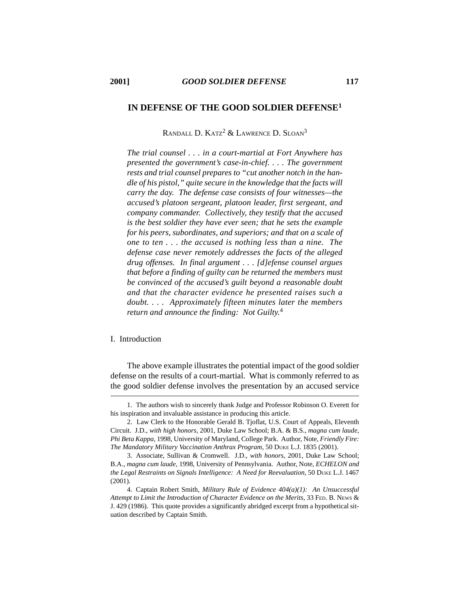# RANDALL D. KATZ<sup>2</sup> & LAWRENCE D. SLOAN<sup>3</sup>

**IN DEFENSE OF THE GOOD SOLDIER DEFENSE1**

*The trial counsel . . . in a court-martial at Fort Anywhere has*

*presented the government's case-in-chief. . . . The government rests and trial counsel prepares to "cut another notch in the handle of his pistol," quite secure in the knowledge that the facts will carry the day. The defense case consists of four witnesses—the accused's platoon sergeant, platoon leader, first sergeant, and company commander. Collectively, they testify that the accused is the best soldier they have ever seen; that he sets the example for his peers, subordinates, and superiors; and that on a scale of one to ten . . . the accused is nothing less than a nine. The defense case never remotely addresses the facts of the alleged drug offenses. In final argument . . . [d]efense counsel argues that before a finding of guilty can be returned the members must be convinced of the accused's guilt beyond a reasonable doubt and that the character evidence he presented raises such a doubt. . . . Approximately fifteen minutes later the members return and announce the finding: Not Guilty.*<sup>4</sup>

## I. Introduction

The above example illustrates the potential impact of the good soldier defense on the results of a court-martial. What is commonly referred to as the good soldier defense involves the presentation by an accused service

<sup>1.</sup> The authors wish to sincerely thank Judge and Professor Robinson O. Everett for his inspiration and invaluable assistance in producing this article.

<sup>2.</sup> Law Clerk to the Honorable Gerald B. Tjoflat, U.S. Court of Appeals, Eleventh Circuit. J.D., *with high honors*, 2001, Duke Law School; B.A. & B.S., *magna cum laude*, *Phi Beta Kappa*, 1998, University of Maryland, College Park. Author, Note, *Friendly Fire: The Mandatory Military Vaccination Anthrax Program*, 50 DUKE L.J. 1835 (2001).

<sup>3.</sup> Associate, Sullivan & Cromwell. J.D., *with honors*, 2001, Duke Law School; B.A., *magna cum laude*, 1998, University of Pennsylvania. Author, Note, *ECHELON and the Legal Restraints on Signals Intelligence: A Need for Reevaluation*, 50 DUKE L.J. 1467 (2001).

<sup>4.</sup> Captain Robert Smith, *Military Rule of Evidence 404(a)(1): An Unsuccessful Attempt to Limit the Introduction of Character Evidence on the Merits*, 33 FED. B. NEWS & J. 429 (1986). This quote provides a significantly abridged excerpt from a hypothetical situation described by Captain Smith.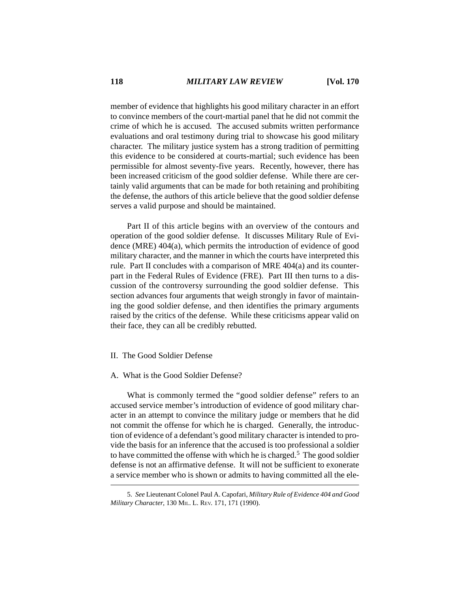member of evidence that highlights his good military character in an effort to convince members of the court-martial panel that he did not commit the crime of which he is accused. The accused submits written performance evaluations and oral testimony during trial to showcase his good military character. The military justice system has a strong tradition of permitting this evidence to be considered at courts-martial; such evidence has been permissible for almost seventy-five years. Recently, however, there has been increased criticism of the good soldier defense. While there are certainly valid arguments that can be made for both retaining and prohibiting the defense, the authors of this article believe that the good soldier defense serves a valid purpose and should be maintained.

Part II of this article begins with an overview of the contours and operation of the good soldier defense. It discusses Military Rule of Evidence (MRE) 404(a), which permits the introduction of evidence of good military character, and the manner in which the courts have interpreted this rule. Part II concludes with a comparison of MRE 404(a) and its counterpart in the Federal Rules of Evidence (FRE). Part III then turns to a discussion of the controversy surrounding the good soldier defense. This section advances four arguments that weigh strongly in favor of maintaining the good soldier defense, and then identifies the primary arguments raised by the critics of the defense. While these criticisms appear valid on their face, they can all be credibly rebutted.

## II. The Good Soldier Defense

## A. What is the Good Soldier Defense?

What is commonly termed the "good soldier defense" refers to an accused service member's introduction of evidence of good military character in an attempt to convince the military judge or members that he did not commit the offense for which he is charged. Generally, the introduction of evidence of a defendant's good military character is intended to provide the basis for an inference that the accused is too professional a soldier to have committed the offense with which he is charged.<sup>5</sup> The good soldier defense is not an affirmative defense. It will not be sufficient to exonerate a service member who is shown or admits to having committed all the ele-

<sup>5.</sup> *See* Lieutenant Colonel Paul A. Capofari, *Military Rule of Evidence 404 and Good Military Character*, 130 MIL. L. REV. 171, 171 (1990).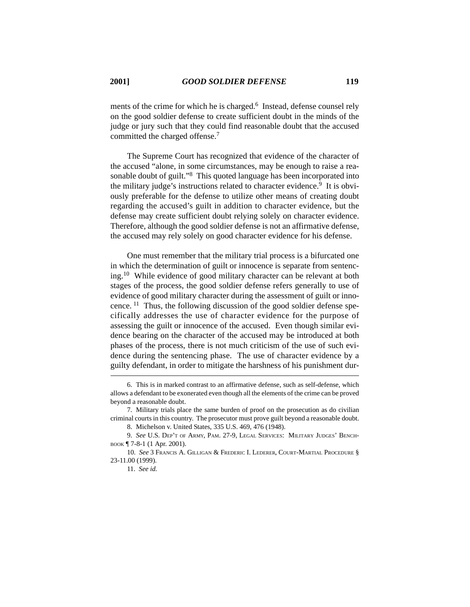ments of the crime for which he is charged.<sup>6</sup> Instead, defense counsel rely on the good soldier defense to create sufficient doubt in the minds of the judge or jury such that they could find reasonable doubt that the accused committed the charged offense.7

The Supreme Court has recognized that evidence of the character of the accused "alone, in some circumstances, may be enough to raise a reasonable doubt of guilt."<sup>8</sup> This quoted language has been incorporated into the military judge's instructions related to character evidence.<sup>9</sup> It is obviously preferable for the defense to utilize other means of creating doubt regarding the accused's guilt in addition to character evidence, but the defense may create sufficient doubt relying solely on character evidence. Therefore, although the good soldier defense is not an affirmative defense, the accused may rely solely on good character evidence for his defense.

One must remember that the military trial process is a bifurcated one in which the determination of guilt or innocence is separate from sentencing.10 While evidence of good military character can be relevant at both stages of the process, the good soldier defense refers generally to use of evidence of good military character during the assessment of guilt or innocence. 11 Thus, the following discussion of the good soldier defense specifically addresses the use of character evidence for the purpose of assessing the guilt or innocence of the accused. Even though similar evidence bearing on the character of the accused may be introduced at both phases of the process, there is not much criticism of the use of such evidence during the sentencing phase. The use of character evidence by a guilty defendant, in order to mitigate the harshness of his punishment dur-

<sup>6.</sup> This is in marked contrast to an affirmative defense, such as self-defense, which allows a defendant to be exonerated even though all the elements of the crime can be proved beyond a reasonable doubt.

<sup>7.</sup> Military trials place the same burden of proof on the prosecution as do civilian criminal courts in this country. The prosecutor must prove guilt beyond a reasonable doubt.

<sup>8.</sup> Michelson v. United States, 335 U.S. 469, 476 (1948).

<sup>9.</sup> *See* U.S. DEP'T OF ARMY, PAM. 27-9, LEGAL SERVICES: MILITARY JUDGES' BENCH-BOOK ¶ 7-8-1 (1 Apr. 2001).

<sup>10.</sup> *See* 3 FRANCIS A. GILLIGAN & FREDERIC I. LEDERER, COURT-MARTIAL PROCEDURE § 23-11.00 (1999).

<sup>11.</sup> *See id.*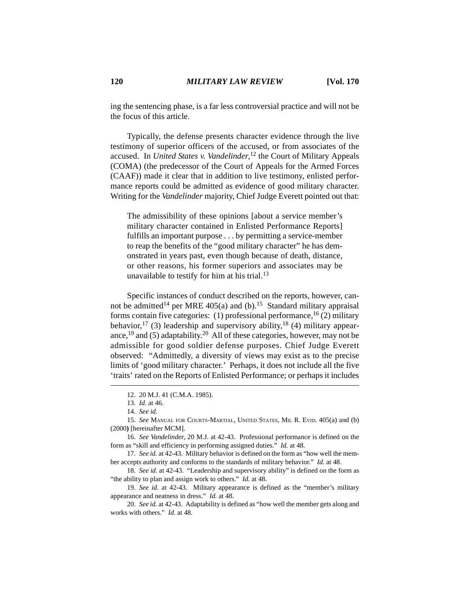ing the sentencing phase, is a far less controversial practice and will not be the focus of this article.

Typically, the defense presents character evidence through the live testimony of superior officers of the accused, or from associates of the accused. In *United States v. Vandelinder*, <sup>12</sup> the Court of Military Appeals (COMA) (the predecessor of the Court of Appeals for the Armed Forces (CAAF)) made it clear that in addition to live testimony, enlisted performance reports could be admitted as evidence of good military character. Writing for the *Vandelinder* majority, Chief Judge Everett pointed out that:

The admissibility of these opinions [about a service member's military character contained in Enlisted Performance Reports] fulfills an important purpose . . . by permitting a service-member to reap the benefits of the "good military character" he has demonstrated in years past, even though because of death, distance, or other reasons, his former superiors and associates may be unavailable to testify for him at his trial. $13$ 

Specific instances of conduct described on the reports, however, cannot be admitted<sup>14</sup> per MRE 405(a) and (b).<sup>15</sup> Standard military appraisal forms contain five categories: (1) professional performance,  $^{16}$  (2) military behavior,<sup>17</sup> (3) leadership and supervisory ability,<sup>18</sup> (4) military appearance,<sup>19</sup> and (5) adaptability.<sup>20</sup> All of these categories, however, may not be admissible for good soldier defense purposes. Chief Judge Everett observed: "Admittedly, a diversity of views may exist as to the precise limits of 'good military character.' Perhaps, it does not include all the five 'traits' rated on the Reports of Enlisted Performance; or perhaps it includes

<sup>12. 20</sup> M.J. 41 (C.M.A. 1985).

<sup>13.</sup> *Id.* at 46.

<sup>14.</sup> *See id.*

<sup>15.</sup> *See* MANUAL FOR COURTS-MARTIAL, UNITED STATES, MIL R. EVID. 405(a) and (b) (2000**)** [hereinafter MCM].

<sup>16.</sup> *See Vandelinder*, 20 M.J. at 42-43. Professional performance is defined on the form as "skill and efficiency in performing assigned duties." *Id.* at 48.

<sup>17.</sup> *See id.* at 42-43. Military behavior is defined on the form as "how well the member accepts authority and conforms to the standards of military behavior." *Id.* at 48.

<sup>18.</sup> *See id.* at 42-43. "Leadership and supervisory ability" is defined on the form as "the ability to plan and assign work to others." *Id.* at 48.

<sup>19.</sup> *See id.* at 42-43. Military appearance is defined as the "member's military appearance and neatness in dress." *Id.* at 48.

<sup>20.</sup> *See id.* at 42-43. Adaptability is defined as "how well the member gets along and works with others." *Id.* at 48.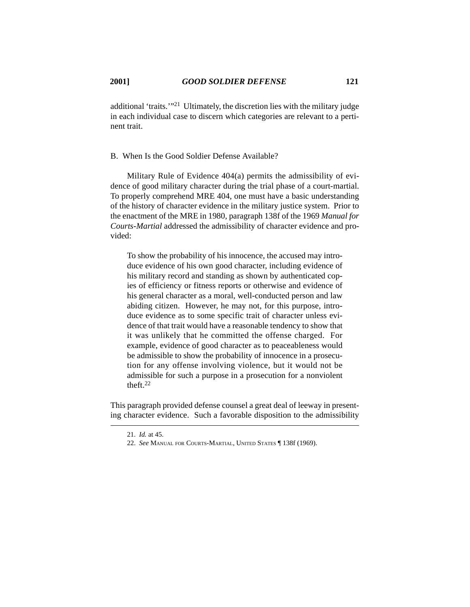additional 'traits.'"21 Ultimately, the discretion lies with the military judge in each individual case to discern which categories are relevant to a pertinent trait.

## B. When Is the Good Soldier Defense Available?

Military Rule of Evidence 404(a) permits the admissibility of evidence of good military character during the trial phase of a court-martial. To properly comprehend MRE 404, one must have a basic understanding of the history of character evidence in the military justice system. Prior to the enactment of the MRE in 1980, paragraph 138f of the 1969 *Manual for Courts-Martial* addressed the admissibility of character evidence and provided:

To show the probability of his innocence, the accused may introduce evidence of his own good character, including evidence of his military record and standing as shown by authenticated copies of efficiency or fitness reports or otherwise and evidence of his general character as a moral, well-conducted person and law abiding citizen. However, he may not, for this purpose, introduce evidence as to some specific trait of character unless evidence of that trait would have a reasonable tendency to show that it was unlikely that he committed the offense charged. For example, evidence of good character as to peaceableness would be admissible to show the probability of innocence in a prosecution for any offense involving violence, but it would not be admissible for such a purpose in a prosecution for a nonviolent theft.22

This paragraph provided defense counsel a great deal of leeway in presenting character evidence. Such a favorable disposition to the admissibility

<sup>21.</sup> *Id.* at 45.

<sup>22.</sup> *See* MANUAL FOR COURTS-MARTIAL, UNITED STATES ¶ 138f (1969).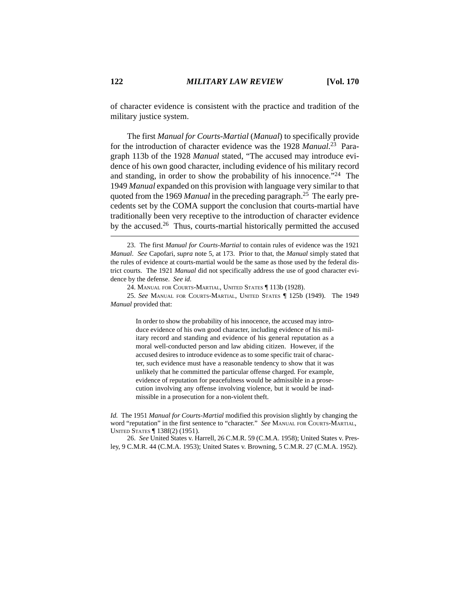of character evidence is consistent with the practice and tradition of the military justice system.

The first *Manual for Courts-Martial* (*Manual*) to specifically provide for the introduction of character evidence was the 1928 *Manual*. 23 Paragraph 113b of the 1928 *Manual* stated, "The accused may introduce evidence of his own good character, including evidence of his military record and standing, in order to show the probability of his innocence."<sup>24</sup> The 1949 *Manual* expanded on this provision with language very similar to that quoted from the 1969 *Manual* in the preceding paragraph.25 The early precedents set by the COMA support the conclusion that courts-martial have traditionally been very receptive to the introduction of character evidence by the accused.26 Thus, courts-martial historically permitted the accused

25. *See* MANUAL FOR COURTS-MARTIAL, UNITED STATES ¶ 125b (1949). The 1949 *Manual* provided that:

> In order to show the probability of his innocence, the accused may introduce evidence of his own good character, including evidence of his military record and standing and evidence of his general reputation as a moral well-conducted person and law abiding citizen. However, if the accused desires to introduce evidence as to some specific trait of character, such evidence must have a reasonable tendency to show that it was unlikely that he committed the particular offense charged. For example, evidence of reputation for peacefulness would be admissible in a prosecution involving any offense involving violence, but it would be inadmissible in a prosecution for a non-violent theft.

*Id.* The 1951 *Manual for Courts-Martial* modified this provision slightly by changing the word "reputation" in the first sentence to "character." *See* MANUAL FOR COURTS-MARTIAL, UNITED STATES ¶ 138f(2) (1951).

26. *See* United States v. Harrell, 26 C.M.R. 59 (C.M.A. 1958); United States v. Presley, 9 C.M.R. 44 (C.M.A. 1953); United States v. Browning, 5 C.M.R. 27 (C.M.A. 1952).

<sup>23.</sup> The first *Manual for Courts-Martial* to contain rules of evidence was the 1921 *Manual*. *See* Capofari, *supra* note 5, at 173. Prior to that, the *Manual* simply stated that the rules of evidence at courts-martial would be the same as those used by the federal district courts. The 1921 *Manual* did not specifically address the use of good character evidence by the defense. *See id.*

<sup>24.</sup> MANUAL FOR COURTS-MARTIAL, UNITED STATES ¶ 113b (1928).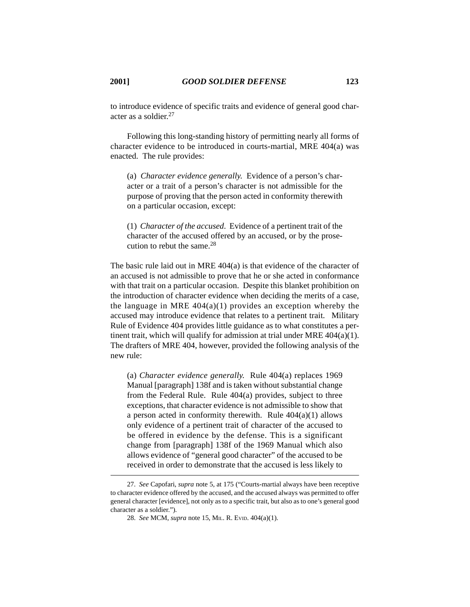to introduce evidence of specific traits and evidence of general good character as a soldier. $27$ 

Following this long-standing history of permitting nearly all forms of character evidence to be introduced in courts-martial, MRE 404(a) was enacted. The rule provides:

(a) *Character evidence generally*. Evidence of a person's character or a trait of a person's character is not admissible for the purpose of proving that the person acted in conformity therewith on a particular occasion, except:

(1) *Character of the accused*. Evidence of a pertinent trait of the character of the accused offered by an accused, or by the prosecution to rebut the same  $28$ 

The basic rule laid out in MRE 404(a) is that evidence of the character of an accused is not admissible to prove that he or she acted in conformance with that trait on a particular occasion. Despite this blanket prohibition on the introduction of character evidence when deciding the merits of a case, the language in MRE  $404(a)(1)$  provides an exception whereby the accused may introduce evidence that relates to a pertinent trait. Military Rule of Evidence 404 provides little guidance as to what constitutes a pertinent trait, which will qualify for admission at trial under MRE 404(a)(1). The drafters of MRE 404, however, provided the following analysis of the new rule:

(a) *Character evidence generally.* Rule 404(a) replaces 1969 Manual [paragraph] 138f and is taken without substantial change from the Federal Rule. Rule 404(a) provides, subject to three exceptions, that character evidence is not admissible to show that a person acted in conformity therewith. Rule  $404(a)(1)$  allows only evidence of a pertinent trait of character of the accused to be offered in evidence by the defense. This is a significant change from [paragraph] 138f of the 1969 Manual which also allows evidence of "general good character" of the accused to be received in order to demonstrate that the accused is less likely to

<sup>27.</sup> *See* Capofari, *supra* note 5, at 175 ("Courts-martial always have been receptive to character evidence offered by the accused, and the accused always was permitted to offer general character [evidence], not only as to a specific trait, but also as to one's general good character as a soldier.").

<sup>28.</sup> *See* MCM, *supra* note 15, MIL. R. EVID. 404(a)(1).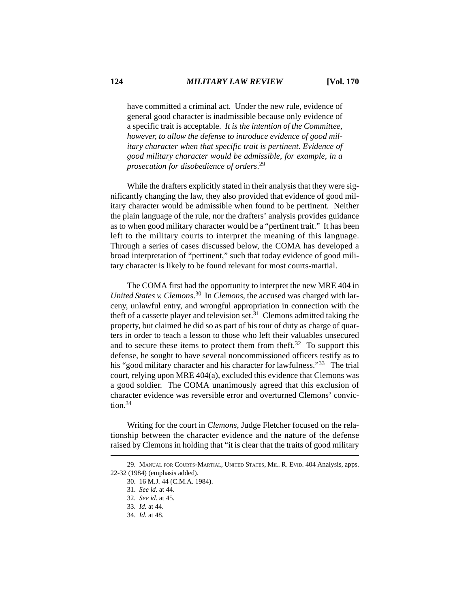have committed a criminal act. Under the new rule, evidence of general good character is inadmissible because only evidence of a specific trait is acceptable. *It is the intention of the Committee, however, to allow the defense to introduce evidence of good military character when that specific trait is pertinent. Evidence of good military character would be admissible, for example, in a prosecution for disobedience of orders*. 29

While the drafters explicitly stated in their analysis that they were significantly changing the law, they also provided that evidence of good military character would be admissible when found to be pertinent. Neither the plain language of the rule, nor the drafters' analysis provides guidance as to when good military character would be a "pertinent trait." It has been left to the military courts to interpret the meaning of this language. Through a series of cases discussed below, the COMA has developed a broad interpretation of "pertinent," such that today evidence of good military character is likely to be found relevant for most courts-martial.

The COMA first had the opportunity to interpret the new MRE 404 in *United States v. Clemons*. 30 In *Clemons*, the accused was charged with larceny, unlawful entry, and wrongful appropriation in connection with the theft of a cassette player and television set.<sup>31</sup> Clemons admitted taking the property, but claimed he did so as part of his tour of duty as charge of quarters in order to teach a lesson to those who left their valuables unsecured and to secure these items to protect them from the ft.<sup>32</sup> To support this defense, he sought to have several noncommissioned officers testify as to his "good military character and his character for lawfulness."<sup>33</sup> The trial court, relying upon MRE 404(a), excluded this evidence that Clemons was a good soldier. The COMA unanimously agreed that this exclusion of character evidence was reversible error and overturned Clemons' conviction.34

Writing for the court in *Clemons*, Judge Fletcher focused on the relationship between the character evidence and the nature of the defense raised by Clemons in holding that "it is clear that the traits of good military

<sup>29.</sup> MANUAL FOR COURTS-MARTIAL, UNITED STATES, MIL. R. EVID. 404 Analysis, apps. 22-32 (1984) (emphasis added).

<sup>30. 16</sup> M.J. 44 (C.M.A. 1984).

<sup>31.</sup> *See id.* at 44.

<sup>32.</sup> *See id.* at 45.

<sup>33.</sup> *Id.* at 44.

<sup>34.</sup> *Id.* at 48.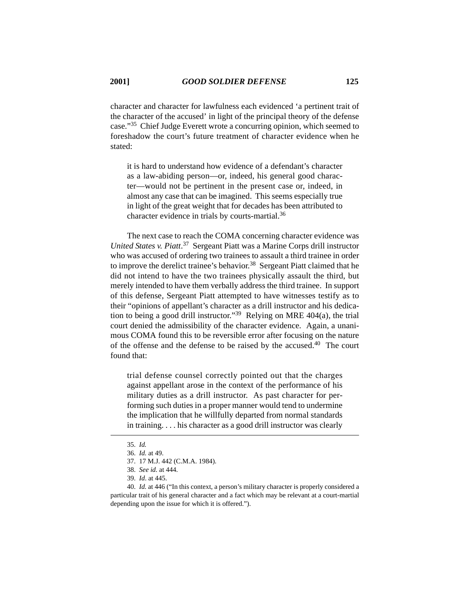character and character for lawfulness each evidenced 'a pertinent trait of the character of the accused' in light of the principal theory of the defense case."35 Chief Judge Everett wrote a concurring opinion, which seemed to foreshadow the court's future treatment of character evidence when he stated:

it is hard to understand how evidence of a defendant's character as a law-abiding person—or, indeed, his general good character—would not be pertinent in the present case or, indeed, in almost any case that can be imagined. This seems especially true in light of the great weight that for decades has been attributed to character evidence in trials by courts-martial.<sup>36</sup>

The next case to reach the COMA concerning character evidence was *United States v. Piatt*. 37 Sergeant Piatt was a Marine Corps drill instructor who was accused of ordering two trainees to assault a third trainee in order to improve the derelict trainee's behavior.<sup>38</sup> Sergeant Piatt claimed that he did not intend to have the two trainees physically assault the third, but merely intended to have them verbally address the third trainee. In support of this defense, Sergeant Piatt attempted to have witnesses testify as to their "opinions of appellant's character as a drill instructor and his dedication to being a good drill instructor."39 Relying on MRE 404(a), the trial court denied the admissibility of the character evidence. Again, a unanimous COMA found this to be reversible error after focusing on the nature of the offense and the defense to be raised by the accused.40 The court found that:

trial defense counsel correctly pointed out that the charges against appellant arose in the context of the performance of his military duties as a drill instructor. As past character for performing such duties in a proper manner would tend to undermine the implication that he willfully departed from normal standards in training. . . . his character as a good drill instructor was clearly

<sup>35.</sup> *Id.*

<sup>36.</sup> *Id.* at 49.

<sup>37. 17</sup> M.J. 442 (C.M.A. 1984).

<sup>38.</sup> *See id.* at 444.

<sup>39.</sup> *Id*. at 445.

<sup>40.</sup> *Id.* at 446 ("In this context, a person's military character is properly considered a particular trait of his general character and a fact which may be relevant at a court-martial depending upon the issue for which it is offered.").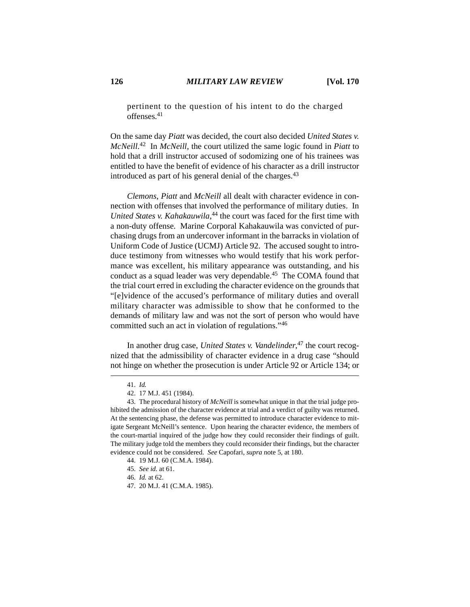pertinent to the question of his intent to do the charged offenses<sup>41</sup>

On the same day *Piatt* was decided, the court also decided *United States v. McNeill.*42 In *McNeill*, the court utilized the same logic found in *Piatt* to hold that a drill instructor accused of sodomizing one of his trainees was entitled to have the benefit of evidence of his character as a drill instructor introduced as part of his general denial of the charges.<sup>43</sup>

*Clemons*, *Piatt* and *McNeill* all dealt with character evidence in connection with offenses that involved the performance of military duties. In *United States v. Kahakauwila*, 44 the court was faced for the first time with a non-duty offense. Marine Corporal Kahakauwila was convicted of purchasing drugs from an undercover informant in the barracks in violation of Uniform Code of Justice (UCMJ) Article 92. The accused sought to introduce testimony from witnesses who would testify that his work performance was excellent, his military appearance was outstanding, and his conduct as a squad leader was very dependable.<sup>45</sup> The COMA found that the trial court erred in excluding the character evidence on the grounds that "[e]vidence of the accused's performance of military duties and overall military character was admissible to show that he conformed to the demands of military law and was not the sort of person who would have committed such an act in violation of regulations."46

In another drug case, *United States v. Vandelinder*, 47 the court recognized that the admissibility of character evidence in a drug case "should not hinge on whether the prosecution is under Article 92 or Article 134; or

<sup>41.</sup> *Id.*

<sup>42. 17</sup> M.J. 451 (1984).

<sup>43.</sup> The procedural history of *McNeill* is somewhat unique in that the trial judge prohibited the admission of the character evidence at trial and a verdict of guilty was returned. At the sentencing phase, the defense was permitted to introduce character evidence to mitigate Sergeant McNeill's sentence. Upon hearing the character evidence, the members of the court-martial inquired of the judge how they could reconsider their findings of guilt. The military judge told the members they could reconsider their findings, but the character evidence could not be considered. *See* Capofari, *supra* note 5, at 180.

<sup>44. 19</sup> M.J. 60 (C.M.A. 1984).

<sup>45.</sup> *See id.* at 61.

<sup>46.</sup> *Id.* at 62.

<sup>47. 20</sup> M.J. 41 (C.M.A. 1985).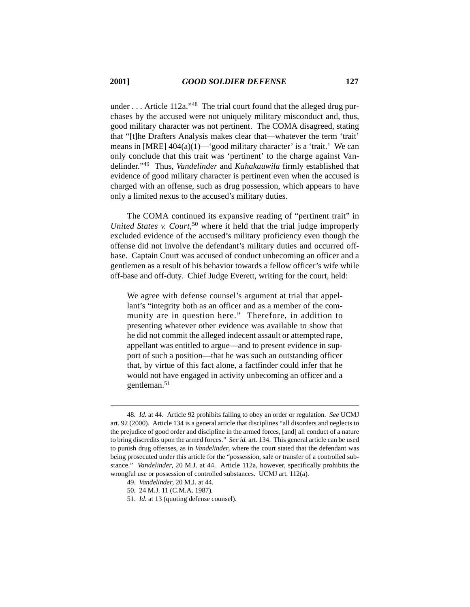under . . . Article 112a."<sup>48</sup> The trial court found that the alleged drug purchases by the accused were not uniquely military misconduct and, thus, good military character was not pertinent. The COMA disagreed, stating that "[t]he Drafters Analysis makes clear that—whatever the term 'trait' means in  $[MRE]$  404(a)(1)—'good military character' is a 'trait.' We can only conclude that this trait was 'pertinent' to the charge against Vandelinder."49 Thus, *Vandelinder* and *Kahakauwila* firmly established that evidence of good military character is pertinent even when the accused is charged with an offense, such as drug possession, which appears to have only a limited nexus to the accused's military duties.

The COMA continued its expansive reading of "pertinent trait" in *United States v. Court*, 50 where it held that the trial judge improperly excluded evidence of the accused's military proficiency even though the offense did not involve the defendant's military duties and occurred offbase. Captain Court was accused of conduct unbecoming an officer and a gentlemen as a result of his behavior towards a fellow officer's wife while off-base and off-duty. Chief Judge Everett, writing for the court, held:

We agree with defense counsel's argument at trial that appellant's "integrity both as an officer and as a member of the community are in question here." Therefore, in addition to presenting whatever other evidence was available to show that he did not commit the alleged indecent assault or attempted rape, appellant was entitled to argue—and to present evidence in support of such a position—that he was such an outstanding officer that, by virtue of this fact alone, a factfinder could infer that he would not have engaged in activity unbecoming an officer and a gentleman.<sup>51</sup>

<sup>48.</sup> *Id.* at 44. Article 92 prohibits failing to obey an order or regulation. *See* UCMJ art. 92 (2000). Article 134 is a general article that disciplines "all disorders and neglects to the prejudice of good order and discipline in the armed forces, [and] all conduct of a nature to bring discredits upon the armed forces." *See id.* art. 134. This general article can be used to punish drug offenses, as in *Vandelinder*, where the court stated that the defendant was being prosecuted under this article for the "possession, sale or transfer of a controlled substance." *Vandelinder*, 20 M.J. at 44. Article 112a, however, specifically prohibits the wrongful use or possession of controlled substances. UCMJ art. 112(a).

<sup>49.</sup> *Vandelinder*, 20 M.J. at 44.

<sup>50. 24</sup> M.J. 11 (C.M.A. 1987).

<sup>51.</sup> *Id.* at 13 (quoting defense counsel).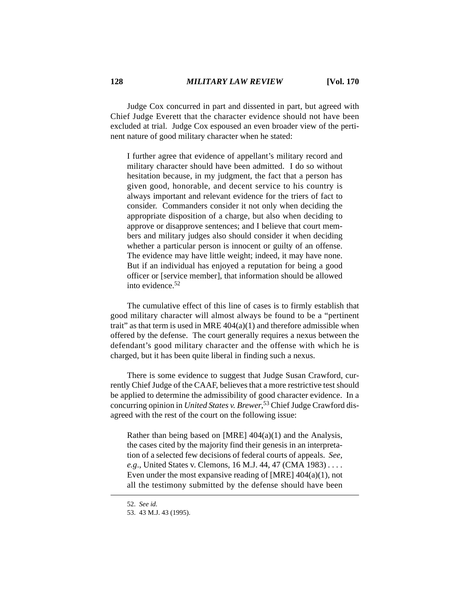Judge Cox concurred in part and dissented in part, but agreed with Chief Judge Everett that the character evidence should not have been excluded at trial. Judge Cox espoused an even broader view of the pertinent nature of good military character when he stated:

I further agree that evidence of appellant's military record and military character should have been admitted. I do so without hesitation because, in my judgment, the fact that a person has given good, honorable, and decent service to his country is always important and relevant evidence for the triers of fact to consider. Commanders consider it not only when deciding the appropriate disposition of a charge, but also when deciding to approve or disapprove sentences; and I believe that court members and military judges also should consider it when deciding whether a particular person is innocent or guilty of an offense. The evidence may have little weight; indeed, it may have none. But if an individual has enjoyed a reputation for being a good officer or [service member], that information should be allowed into evidence.52

The cumulative effect of this line of cases is to firmly establish that good military character will almost always be found to be a "pertinent trait" as that term is used in MRE  $404(a)(1)$  and therefore admissible when offered by the defense. The court generally requires a nexus between the defendant's good military character and the offense with which he is charged, but it has been quite liberal in finding such a nexus.

There is some evidence to suggest that Judge Susan Crawford, currently Chief Judge of the CAAF, believes that a more restrictive test should be applied to determine the admissibility of good character evidence. In a concurring opinion in *United States v. Brewer*, 53 Chief Judge Crawford disagreed with the rest of the court on the following issue:

Rather than being based on [MRE] 404(a)(1) and the Analysis, the cases cited by the majority find their genesis in an interpretation of a selected few decisions of federal courts of appeals. *See, e.g*., United States v. Clemons, 16 M.J. 44, 47 (CMA 1983) *. . . .* Even under the most expansive reading of [MRE]  $404(a)(1)$ , not all the testimony submitted by the defense should have been

<sup>52.</sup> *See id.*

<sup>53. 43</sup> M.J. 43 (1995).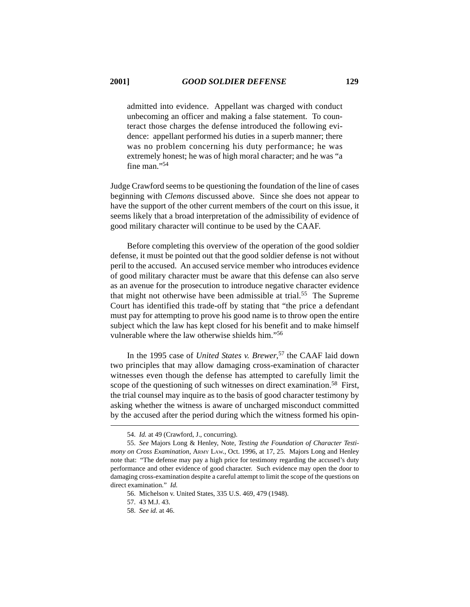admitted into evidence. Appellant was charged with conduct unbecoming an officer and making a false statement. To counteract those charges the defense introduced the following evidence: appellant performed his duties in a superb manner; there was no problem concerning his duty performance; he was extremely honest; he was of high moral character; and he was "a fine man."<sup>54</sup>

Judge Crawford seems to be questioning the foundation of the line of cases beginning with *Clemons* discussed above. Since she does not appear to have the support of the other current members of the court on this issue, it seems likely that a broad interpretation of the admissibility of evidence of good military character will continue to be used by the CAAF.

Before completing this overview of the operation of the good soldier defense, it must be pointed out that the good soldier defense is not without peril to the accused. An accused service member who introduces evidence of good military character must be aware that this defense can also serve as an avenue for the prosecution to introduce negative character evidence that might not otherwise have been admissible at trial.<sup>55</sup> The Supreme Court has identified this trade-off by stating that "the price a defendant must pay for attempting to prove his good name is to throw open the entire subject which the law has kept closed for his benefit and to make himself vulnerable where the law otherwise shields him."<sup>56</sup>

In the 1995 case of *United States v. Brewer*, 57 the CAAF laid down two principles that may allow damaging cross-examination of character witnesses even though the defense has attempted to carefully limit the scope of the questioning of such witnesses on direct examination.<sup>58</sup> First, the trial counsel may inquire as to the basis of good character testimony by asking whether the witness is aware of uncharged misconduct committed by the accused after the period during which the witness formed his opin-

<sup>54.</sup> *Id.* at 49 (Crawford, J., concurring).

<sup>55.</sup> *See* Majors Long & Henley, Note, *Testing the Foundation of Character Testimony on Cross Examination*, ARMY LAW., Oct. 1996, at 17, 25. Majors Long and Henley note that: "The defense may pay a high price for testimony regarding the accused's duty performance and other evidence of good character. Such evidence may open the door to damaging cross-examination despite a careful attempt to limit the scope of the questions on direct examination." *Id.*

<sup>56.</sup> Michelson v. United States, 335 U.S. 469, 479 (1948).

<sup>57. 43</sup> M.J. 43.

<sup>58.</sup> *See id.* at 46.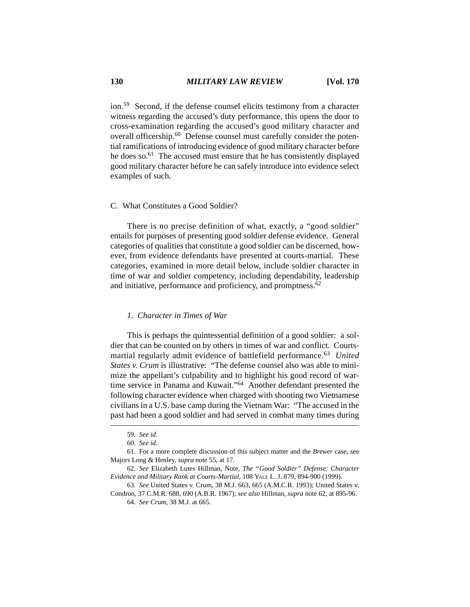ion.59 Second, if the defense counsel elicits testimony from a character witness regarding the accused's duty performance, this opens the door to cross-examination regarding the accused's good military character and overall officership.60 Defense counsel must carefully consider the potential ramifications of introducing evidence of good military character before he does so.<sup>61</sup> The accused must ensure that he has consistently displayed good military character before he can safely introduce into evidence select examples of such.

# C. What Constitutes a Good Soldier?

There is no precise definition of what, exactly, a "good soldier" entails for purposes of presenting good soldier defense evidence. General categories of qualities that constitute a good soldier can be discerned, however, from evidence defendants have presented at courts-martial. These categories, examined in more detail below, include soldier character in time of war and soldier competency, including dependability, leadership and initiative, performance and proficiency, and promptness.62

#### *1. Character in Times of War*

This is perhaps the quintessential definition of a good soldier: a soldier that can be counted on by others in times of war and conflict. Courtsmartial regularly admit evidence of battlefield performance.<sup>63</sup> *United States v. Crum* is illustrative: "The defense counsel also was able to minimize the appellant's culpability and to highlight his good record of wartime service in Panama and Kuwait."64 Another defendant presented the following character evidence when charged with shooting two Vietnamese civilians in a U.S. base camp during the Vietnam War: "The accused in the past had been a good soldier and had served in combat many times during

<sup>59.</sup> *See id.*

<sup>60.</sup> *See id.*

<sup>61.</sup> For a more complete discussion of this subject matter and the *Brewer* case, see Majors Long & Henley, *supra* note 55, at 17.

<sup>62.</sup> *See* Elizabeth Lutes Hillman, Note, *The "Good Soldier" Defense: Character Evidence and Military Rank at Courts-Martial*, 108 YALE L. J. 879, 894-900 (1999).

<sup>63.</sup> *See* United States v. Crum, 38 M.J. 663, 665 (A.M.C.R. 1993); United States v. Condron, 37 C.M.R. 688, 690 (A.B.R. 1967); *see also* Hillman, *supra* note 62, at 895-96.

<sup>64.</sup> *See Crum*, 38 M.J. at 665.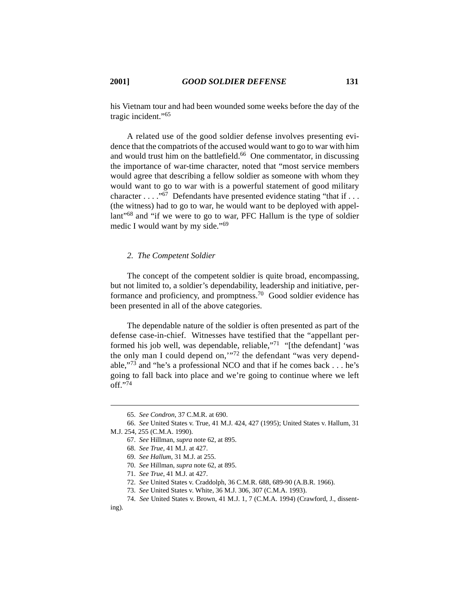his Vietnam tour and had been wounded some weeks before the day of the tragic incident."65

A related use of the good soldier defense involves presenting evidence that the compatriots of the accused would want to go to war with him and would trust him on the battlefield.<sup>66</sup> One commentator, in discussing the importance of war-time character, noted that "most service members would agree that describing a fellow soldier as someone with whom they would want to go to war with is a powerful statement of good military character  $\dots$  . "<sup>67</sup> Defendants have presented evidence stating "that if  $\dots$ (the witness) had to go to war, he would want to be deployed with appellant"<sup>68</sup> and "if we were to go to war, PFC Hallum is the type of soldier medic I would want by my side."69

# *2. The Competent Soldier*

The concept of the competent soldier is quite broad, encompassing, but not limited to, a soldier's dependability, leadership and initiative, performance and proficiency, and promptness.<sup>70</sup> Good soldier evidence has been presented in all of the above categories.

The dependable nature of the soldier is often presented as part of the defense case-in-chief. Witnesses have testified that the "appellant performed his job well, was dependable, reliable,"<sup>71</sup> "[the defendant] 'was the only man I could depend on,'"72 the defendant "was very dependable,"73 and "he's a professional NCO and that if he comes back . . . he's going to fall back into place and we're going to continue where we left off."74

<sup>65.</sup> *See Condron*, 37 C.M.R. at 690.

<sup>66.</sup> *See* United States v. True, 41 M.J. 424, 427 (1995); United States v. Hallum, 31 M.J. 254, 255 (C.M.A. 1990).

<sup>67.</sup> *See* Hillman*, supra* note 62, at 895.

<sup>68.</sup> *See True*, 41 M.J. at 427.

<sup>69.</sup> *See Hallum*, 31 M.J. at 255.

<sup>70.</sup> *See* Hillman, *supra* note 62, at 895.

<sup>71.</sup> *See True*, 41 M.J. at 427.

<sup>72.</sup> *See* United States v. Craddolph, 36 C.M.R. 688, 689-90 (A.B.R. 1966).

<sup>73.</sup> *See* United States v. White, 36 M.J. 306, 307 (C.M.A. 1993).

<sup>74.</sup> *See* United States v. Brown, 41 M.J. 1, 7 (C.M.A. 1994) (Crawford, J., dissenting).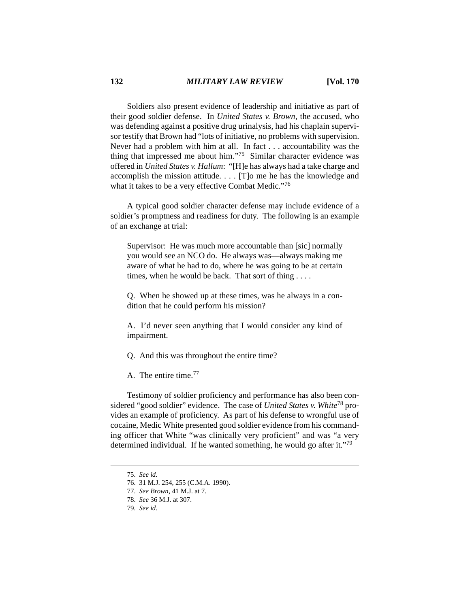Soldiers also present evidence of leadership and initiative as part of their good soldier defense. In *United States v. Brown*, the accused, who was defending against a positive drug urinalysis, had his chaplain supervisor testify that Brown had "lots of initiative, no problems with supervision. Never had a problem with him at all. In fact . . . accountability was the thing that impressed me about him."75 Similar character evidence was offered in *United States v. Hallum*: "[H]e has always had a take charge and accomplish the mission attitude. . . . [T]o me he has the knowledge and what it takes to be a very effective Combat Medic."<sup>76</sup>

A typical good soldier character defense may include evidence of a soldier's promptness and readiness for duty. The following is an example of an exchange at trial:

Supervisor: He was much more accountable than [sic] normally you would see an NCO do. He always was—always making me aware of what he had to do, where he was going to be at certain times, when he would be back. That sort of thing . . . .

Q. When he showed up at these times, was he always in a condition that he could perform his mission?

A. I'd never seen anything that I would consider any kind of impairment.

Q. And this was throughout the entire time?

A. The entire time.77

Testimony of soldier proficiency and performance has also been considered "good soldier" evidence. The case of *United States v. White*78 provides an example of proficiency. As part of his defense to wrongful use of cocaine, Medic White presented good soldier evidence from his commanding officer that White "was clinically very proficient" and was "a very determined individual. If he wanted something, he would go after it."79

<sup>75.</sup> *See id.*

<sup>76. 31</sup> M.J. 254, 255 (C.M.A. 1990).

<sup>77.</sup> *See Brown*, 41 M.J. at 7.

<sup>78.</sup> *See* 36 M.J. at 307.

<sup>79.</sup> *See id.*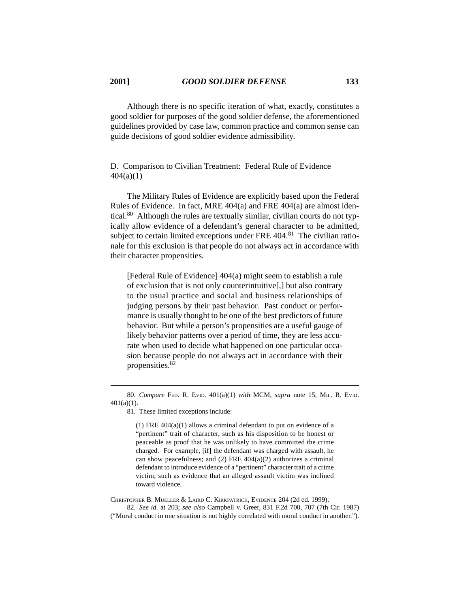Although there is no specific iteration of what, exactly, constitutes a good soldier for purposes of the good soldier defense, the aforementioned guidelines provided by case law, common practice and common sense can guide decisions of good soldier evidence admissibility.

D. Comparison to Civilian Treatment: Federal Rule of Evidence  $404(a)(1)$ 

The Military Rules of Evidence are explicitly based upon the Federal Rules of Evidence. In fact, MRE 404(a) and FRE 404(a) are almost identical.80 Although the rules are textually similar, civilian courts do not typically allow evidence of a defendant's general character to be admitted, subject to certain limited exceptions under FRE 404.<sup>81</sup> The civilian rationale for this exclusion is that people do not always act in accordance with their character propensities.

[Federal Rule of Evidence] 404(a) might seem to establish a rule of exclusion that is not only counterintuitive[,] but also contrary to the usual practice and social and business relationships of judging persons by their past behavior. Past conduct or performance is usually thought to be one of the best predictors of future behavior. But while a person's propensities are a useful gauge of likely behavior patterns over a period of time, they are less accurate when used to decide what happened on one particular occasion because people do not always act in accordance with their propensities.<sup>82</sup>

(1) FRE 404(a)(1) allows a criminal defendant to put on evidence of a "pertinent" trait of character, such as his disposition to be honest or peaceable as proof that he was unlikely to have committed the crime charged. For example, [if] the defendant was charged with assault, he can show peacefulness; and  $(2)$  FRE 404 $(a)(2)$  authorizes a criminal defendant to introduce evidence of a "pertinent" character trait of a crime victim, such as evidence that an alleged assault victim was inclined toward violence.

CHRISTOPHER B. MUELLER & LAIRD C. KIRKPATRICK, EVIDENCE 204 (2d ed. 1999).

82. *See id.* at 203; *see also* Campbell v. Greer, 831 F.2d 700, 707 (7th Cir. 1987) ("Moral conduct in one situation is not highly correlated with moral conduct in another.").

<sup>80.</sup> *Compare* FED. R. EVID. 401(a)(1) *with* MCM, *supra* note 15, MIL. R. EVID.  $401(a)(1)$ .

<sup>81.</sup> These limited exceptions include: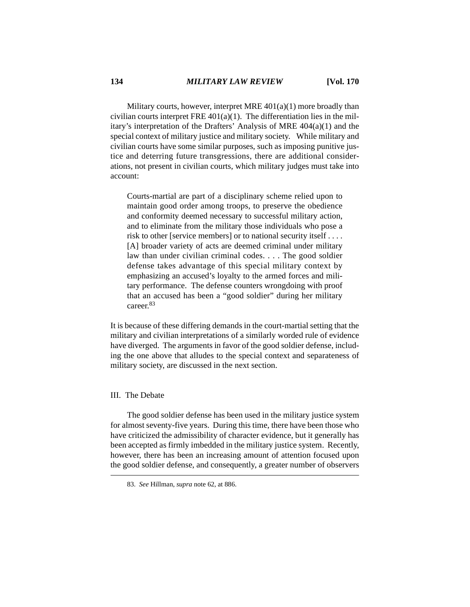Military courts, however, interpret MRE 401(a)(1) more broadly than civilian courts interpret FRE 401(a)(1). The differentiation lies in the military's interpretation of the Drafters' Analysis of MRE 404(a)(1) and the special context of military justice and military society. While military and civilian courts have some similar purposes, such as imposing punitive justice and deterring future transgressions, there are additional considerations, not present in civilian courts, which military judges must take into account:

Courts-martial are part of a disciplinary scheme relied upon to maintain good order among troops, to preserve the obedience and conformity deemed necessary to successful military action, and to eliminate from the military those individuals who pose a risk to other [service members] or to national security itself . . . . [A] broader variety of acts are deemed criminal under military law than under civilian criminal codes. . . . The good soldier defense takes advantage of this special military context by emphasizing an accused's loyalty to the armed forces and military performance. The defense counters wrongdoing with proof that an accused has been a "good soldier" during her military career.<sup>83</sup>

It is because of these differing demands in the court-martial setting that the military and civilian interpretations of a similarly worded rule of evidence have diverged. The arguments in favor of the good soldier defense, including the one above that alludes to the special context and separateness of military society, are discussed in the next section.

# III. The Debate

The good soldier defense has been used in the military justice system for almost seventy-five years. During this time, there have been those who have criticized the admissibility of character evidence, but it generally has been accepted as firmly imbedded in the military justice system. Recently, however, there has been an increasing amount of attention focused upon the good soldier defense, and consequently, a greater number of observers

<sup>83.</sup> *See* Hillman, *supra* note 62, at 886.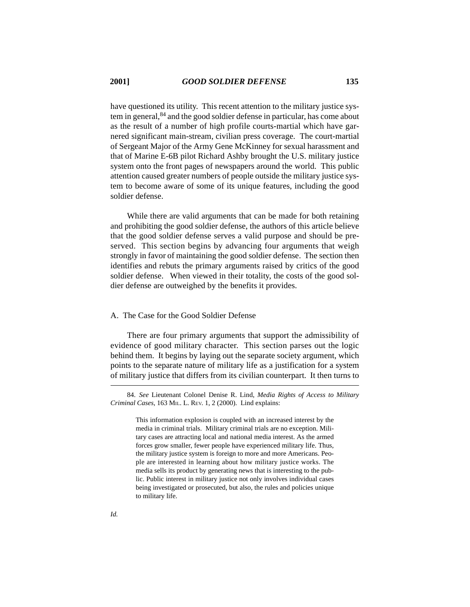have questioned its utility. This recent attention to the military justice system in general,84 and the good soldier defense in particular, has come about as the result of a number of high profile courts-martial which have garnered significant main-stream, civilian press coverage. The court-martial of Sergeant Major of the Army Gene McKinney for sexual harassment and that of Marine E-6B pilot Richard Ashby brought the U.S. military justice system onto the front pages of newspapers around the world. This public attention caused greater numbers of people outside the military justice system to become aware of some of its unique features, including the good soldier defense.

While there are valid arguments that can be made for both retaining and prohibiting the good soldier defense, the authors of this article believe that the good soldier defense serves a valid purpose and should be preserved. This section begins by advancing four arguments that weigh strongly in favor of maintaining the good soldier defense. The section then identifies and rebuts the primary arguments raised by critics of the good soldier defense. When viewed in their totality, the costs of the good soldier defense are outweighed by the benefits it provides.

## A. The Case for the Good Soldier Defense

There are four primary arguments that support the admissibility of evidence of good military character. This section parses out the logic behind them. It begins by laying out the separate society argument, which points to the separate nature of military life as a justification for a system of military justice that differs from its civilian counterpart. It then turns to

<sup>84.</sup> *See* Lieutenant Colonel Denise R. Lind, *Media Rights of Access to Military Criminal Cases*, 163 MIL. L. REV. 1, 2 (2000). Lind explains:

This information explosion is coupled with an increased interest by the media in criminal trials. Military criminal trials are no exception. Military cases are attracting local and national media interest. As the armed forces grow smaller, fewer people have experienced military life. Thus, the military justice system is foreign to more and more Americans. People are interested in learning about how military justice works. The media sells its product by generating news that is interesting to the public. Public interest in military justice not only involves individual cases being investigated or prosecuted, but also, the rules and policies unique to military life.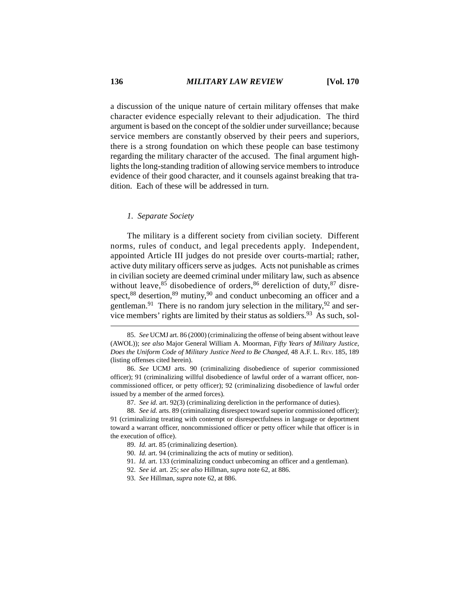a discussion of the unique nature of certain military offenses that make character evidence especially relevant to their adjudication. The third argument is based on the concept of the soldier under surveillance; because service members are constantly observed by their peers and superiors, there is a strong foundation on which these people can base testimony regarding the military character of the accused. The final argument highlights the long-standing tradition of allowing service members to introduce evidence of their good character, and it counsels against breaking that tradition. Each of these will be addressed in turn.

#### *1. Separate Society*

The military is a different society from civilian society. Different norms, rules of conduct, and legal precedents apply. Independent, appointed Article III judges do not preside over courts-martial; rather, active duty military officers serve as judges. Acts not punishable as crimes in civilian society are deemed criminal under military law, such as absence without leave,  $85$  disobedience of orders,  $86$  dereliction of duty,  $87$  disrespect,<sup>88</sup> desertion,<sup>89</sup> mutiny,<sup>90</sup> and conduct unbecoming an officer and a gentleman.<sup>91</sup> There is no random jury selection in the military,  $92$  and service members' rights are limited by their status as soldiers.<sup>93</sup> As such, sol-

<sup>85.</sup> *See* UCMJ art. 86 (2000) (criminalizing the offense of being absent without leave (AWOL)); *see also* Major General William A. Moorman, *Fifty Years of Military Justice, Does the Uniform Code of Military Justice Need to Be Changed,* 48 A.F. L. REV. 185, 189 (listing offenses cited herein).

<sup>86.</sup> *See* UCMJ arts. 90 (criminalizing disobedience of superior commissioned officer); 91 (criminalizing willful disobedience of lawful order of a warrant officer, noncommissioned officer, or petty officer); 92 (criminalizing disobedience of lawful order issued by a member of the armed forces).

<sup>87.</sup> *See id.* art. 92(3) (criminalizing dereliction in the performance of duties).

<sup>88.</sup> *See id.* arts. 89 (criminalizing disrespect toward superior commissioned officer); 91 (criminalizing treating with contempt or disrespectfulness in language or deportment toward a warrant officer, noncommissioned officer or petty officer while that officer is in the execution of office).

<sup>89.</sup> *Id.* art. 85 (criminalizing desertion).

<sup>90.</sup> *Id.* art. 94 (criminalizing the acts of mutiny or sedition).

<sup>91.</sup> *Id.* art. 133 (criminalizing conduct unbecoming an officer and a gentleman).

<sup>92.</sup> *See id.* art. 25; *see also* Hillman, *supra* note 62, at 886.

<sup>93.</sup> *See* Hillman, *supra* note 62, at 886.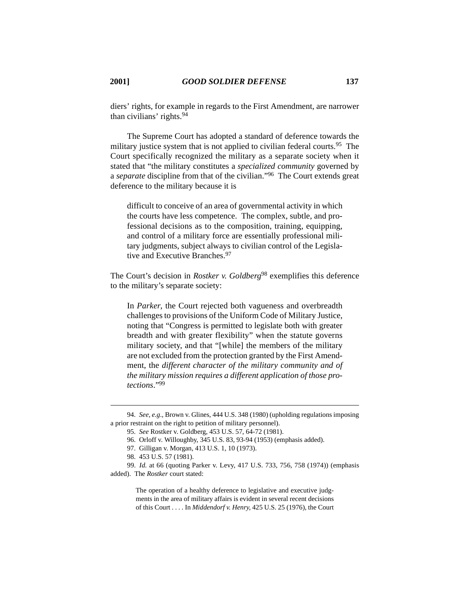diers' rights, for example in regards to the First Amendment, are narrower than civilians' rights.94

The Supreme Court has adopted a standard of deference towards the military justice system that is not applied to civilian federal courts.<sup>95</sup> The Court specifically recognized the military as a separate society when it stated that "the military constitutes a *specialized community* governed by a *separate* discipline from that of the civilian."96 The Court extends great deference to the military because it is

difficult to conceive of an area of governmental activity in which the courts have less competence. The complex, subtle, and professional decisions as to the composition, training, equipping, and control of a military force are essentially professional military judgments, subject always to civilian control of the Legislative and Executive Branches.<sup>97</sup>

The Court's decision in *Rostker v. Goldberg*<sup>98</sup> exemplifies this deference to the military's separate society:

In *Parker*, the Court rejected both vagueness and overbreadth challenges to provisions of the Uniform Code of Military Justice, noting that "Congress is permitted to legislate both with greater breadth and with greater flexibility" when the statute governs military society, and that "[while] the members of the military are not excluded from the protection granted by the First Amendment, the *different character of the military community and of the military mission requires a different application of those protections*."99

99. *Id.* at 66 (quoting Parker v. Levy, 417 U.S. 733, 756, 758 (1974)) (emphasis added). The *Rostker* court stated:

> The operation of a healthy deference to legislative and executive judgments in the area of military affairs is evident in several recent decisions of this Court . . . . In *Middendorf v. Henry*, 425 U.S. 25 (1976), the Court

<sup>94.</sup> *See, e.g*., Brown v. Glines, 444 U.S. 348 (1980) (upholding regulations imposing a prior restraint on the right to petition of military personnel).

<sup>95.</sup> *See* Rostker v. Goldberg, 453 U.S. 57, 64-72 (1981).

<sup>96.</sup> Orloff v. Willoughby, 345 U.S. 83, 93-94 (1953) (emphasis added).

<sup>97.</sup> Gilligan v. Morgan, 413 U.S. 1, 10 (1973).

<sup>98. 453</sup> U.S. 57 (1981).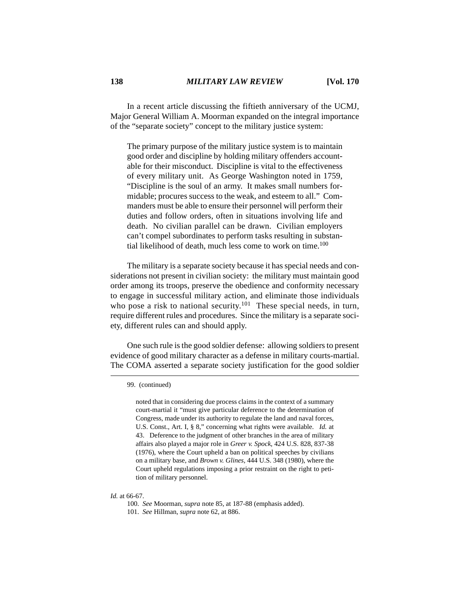In a recent article discussing the fiftieth anniversary of the UCMJ, Major General William A. Moorman expanded on the integral importance of the "separate society" concept to the military justice system:

The primary purpose of the military justice system is to maintain good order and discipline by holding military offenders accountable for their misconduct. Discipline is vital to the effectiveness of every military unit. As George Washington noted in 1759, "Discipline is the soul of an army. It makes small numbers formidable; procures success to the weak, and esteem to all." Commanders must be able to ensure their personnel will perform their duties and follow orders, often in situations involving life and death. No civilian parallel can be drawn. Civilian employers can't compel subordinates to perform tasks resulting in substantial likelihood of death, much less come to work on time.<sup>100</sup>

The military is a separate society because it has special needs and considerations not present in civilian society: the military must maintain good order among its troops, preserve the obedience and conformity necessary to engage in successful military action, and eliminate those individuals who pose a risk to national security.<sup>101</sup> These special needs, in turn, require different rules and procedures. Since the military is a separate society, different rules can and should apply.

One such rule is the good soldier defense: allowing soldiers to present evidence of good military character as a defense in military courts-martial. The COMA asserted a separate society justification for the good soldier

noted that in considering due process claims in the context of a summary court-martial it "must give particular deference to the determination of Congress, made under its authority to regulate the land and naval forces, U.S. Const., Art. I, § 8," concerning what rights were available. *Id.* at 43. Deference to the judgment of other branches in the area of military affairs also played a major role in *Greer v. Spock*, 424 U.S. 828, 837-38 (1976), where the Court upheld a ban on political speeches by civilians on a military base, and *Brown v. Glines*, 444 U.S. 348 (1980), where the Court upheld regulations imposing a prior restraint on the right to petition of military personnel.

<sup>99. (</sup>continued)

*Id.* at 66-67.

<sup>100.</sup> *See* Moorman, *supra* note 85, at 187-88 (emphasis added). 101. *See* Hillman, *supra* note 62, at 886.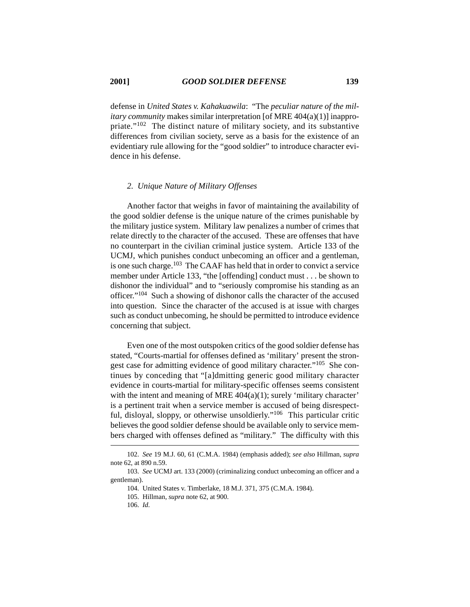defense in *United States v. Kahakuawila*: "The *peculiar nature of the military community* makes similar interpretation [of MRE 404(a)(1)] inappropriate."102 The distinct nature of military society, and its substantive differences from civilian society, serve as a basis for the existence of an evidentiary rule allowing for the "good soldier" to introduce character evidence in his defense.

#### *2. Unique Nature of Military Offenses*

Another factor that weighs in favor of maintaining the availability of the good soldier defense is the unique nature of the crimes punishable by the military justice system. Military law penalizes a number of crimes that relate directly to the character of the accused. These are offenses that have no counterpart in the civilian criminal justice system. Article 133 of the UCMJ, which punishes conduct unbecoming an officer and a gentleman, is one such charge.<sup>103</sup> The CAAF has held that in order to convict a service member under Article 133, "the [offending] conduct must . . . be shown to dishonor the individual" and to "seriously compromise his standing as an officer."104 Such a showing of dishonor calls the character of the accused into question. Since the character of the accused is at issue with charges such as conduct unbecoming, he should be permitted to introduce evidence concerning that subject.

Even one of the most outspoken critics of the good soldier defense has stated, "Courts-martial for offenses defined as 'military' present the strongest case for admitting evidence of good military character."<sup>105</sup> She continues by conceding that "[a]dmitting generic good military character evidence in courts-martial for military-specific offenses seems consistent with the intent and meaning of MRE  $404(a)(1)$ ; surely 'military character' is a pertinent trait when a service member is accused of being disrespectful, disloyal, sloppy, or otherwise unsoldierly."106 This particular critic believes the good soldier defense should be available only to service members charged with offenses defined as "military." The difficulty with this

106. *Id.*

<sup>102.</sup> *See* 19 M.J. 60, 61 (C.M.A. 1984) (emphasis added); *see also* Hillman, *supra* note 62, at 890 n.59.

<sup>103.</sup> *See* UCMJ art. 133 (2000) (criminalizing conduct unbecoming an officer and a gentleman).

<sup>104.</sup> United States v. Timberlake, 18 M.J. 371, 375 (C.M.A. 1984).

<sup>105.</sup> Hillman, *supra* note 62, at 900.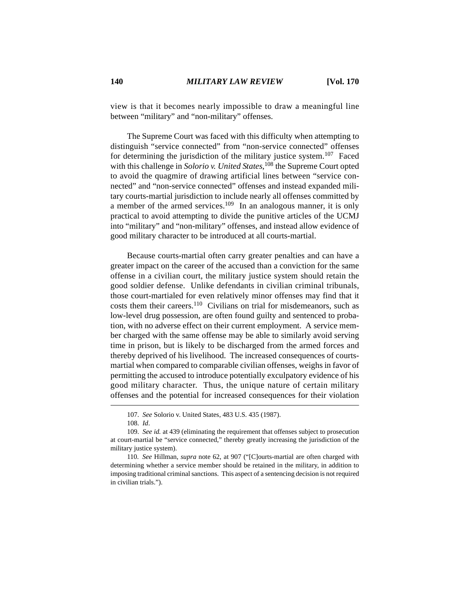view is that it becomes nearly impossible to draw a meaningful line between "military" and "non-military" offenses.

The Supreme Court was faced with this difficulty when attempting to distinguish "service connected" from "non-service connected" offenses for determining the jurisdiction of the military justice system.<sup>107</sup> Faced with this challenge in *Solorio v. United States*, 108 the Supreme Court opted to avoid the quagmire of drawing artificial lines between "service connected" and "non-service connected" offenses and instead expanded military courts-martial jurisdiction to include nearly all offenses committed by a member of the armed services.109 In an analogous manner, it is only practical to avoid attempting to divide the punitive articles of the UCMJ into "military" and "non-military" offenses, and instead allow evidence of good military character to be introduced at all courts-martial.

Because courts-martial often carry greater penalties and can have a greater impact on the career of the accused than a conviction for the same offense in a civilian court, the military justice system should retain the good soldier defense. Unlike defendants in civilian criminal tribunals, those court-martialed for even relatively minor offenses may find that it costs them their careers.<sup>110</sup> Civilians on trial for misdemeanors, such as low-level drug possession, are often found guilty and sentenced to probation, with no adverse effect on their current employment. A service member charged with the same offense may be able to similarly avoid serving time in prison, but is likely to be discharged from the armed forces and thereby deprived of his livelihood. The increased consequences of courtsmartial when compared to comparable civilian offenses, weighs in favor of permitting the accused to introduce potentially exculpatory evidence of his good military character. Thus, the unique nature of certain military offenses and the potential for increased consequences for their violation

<sup>107.</sup> *See* Solorio v. United States, 483 U.S. 435 (1987).

<sup>108.</sup> *Id*.

<sup>109.</sup> *See id.* at 439 (eliminating the requirement that offenses subject to prosecution at court-martial be "service connected," thereby greatly increasing the jurisdiction of the military justice system).

<sup>110.</sup> *See* Hillman, *supra* note 62, at 907 ("[C]ourts-martial are often charged with determining whether a service member should be retained in the military, in addition to imposing traditional criminal sanctions. This aspect of a sentencing decision is not required in civilian trials.").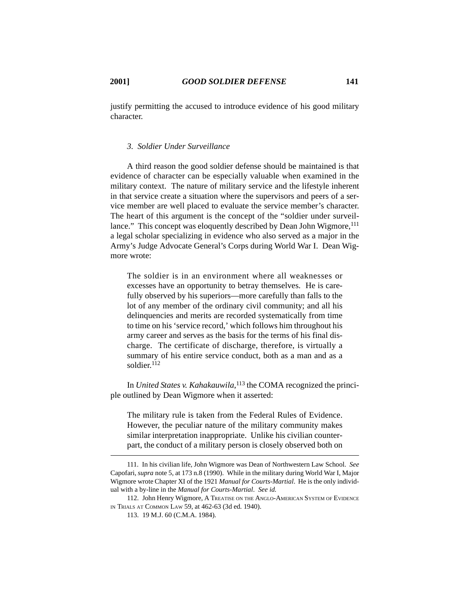justify permitting the accused to introduce evidence of his good military character.

# *3. Soldier Under Surveillance*

A third reason the good soldier defense should be maintained is that evidence of character can be especially valuable when examined in the military context. The nature of military service and the lifestyle inherent in that service create a situation where the supervisors and peers of a service member are well placed to evaluate the service member's character. The heart of this argument is the concept of the "soldier under surveillance." This concept was eloquently described by Dean John Wigmore, <sup>111</sup> a legal scholar specializing in evidence who also served as a major in the Army's Judge Advocate General's Corps during World War I. Dean Wigmore wrote:

The soldier is in an environment where all weaknesses or excesses have an opportunity to betray themselves. He is carefully observed by his superiors—more carefully than falls to the lot of any member of the ordinary civil community; and all his delinquencies and merits are recorded systematically from time to time on his 'service record,' which follows him throughout his army career and serves as the basis for the terms of his final discharge. The certificate of discharge, therefore, is virtually a summary of his entire service conduct, both as a man and as a soldier.<sup>112</sup>

In *United States v. Kahakauwila*, 113 the COMA recognized the principle outlined by Dean Wigmore when it asserted:

The military rule is taken from the Federal Rules of Evidence. However, the peculiar nature of the military community makes similar interpretation inappropriate. Unlike his civilian counterpart, the conduct of a military person is closely observed both on

112. John Henry Wigmore, A TREATISE ON THE ANGLO-AMERICAN SYSTEM OF EVIDENCE IN TRIALS AT COMMON LAW 59, at 462-63 (3d ed. 1940).

<sup>111.</sup> In his civilian life, John Wigmore was Dean of Northwestern Law School. *See* Capofari, *supra* note 5, at 173 n.8 (1990). While in the military during World War I, Major Wigmore wrote Chapter XI of the 1921 *Manual for Courts-Martial*. He is the only individual with a by-line in the *Manual for Courts-Martial*. *See id.*

<sup>113. 19</sup> M.J. 60 (C.M.A. 1984).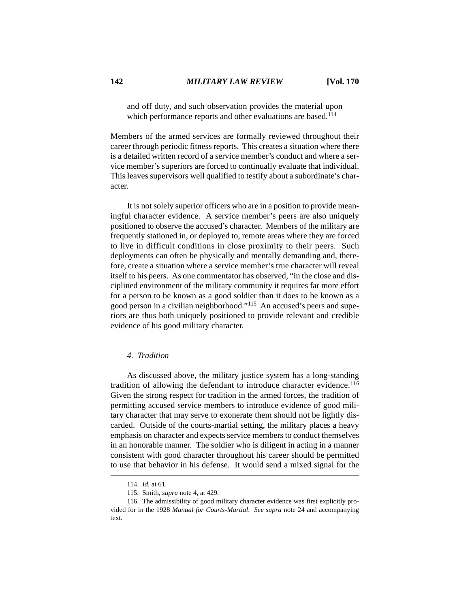and off duty, and such observation provides the material upon which performance reports and other evaluations are based.<sup>114</sup>

Members of the armed services are formally reviewed throughout their career through periodic fitness reports. This creates a situation where there is a detailed written record of a service member's conduct and where a service member's superiors are forced to continually evaluate that individual. This leaves supervisors well qualified to testify about a subordinate's character.

It is not solely superior officers who are in a position to provide meaningful character evidence. A service member's peers are also uniquely positioned to observe the accused's character. Members of the military are frequently stationed in, or deployed to, remote areas where they are forced to live in difficult conditions in close proximity to their peers. Such deployments can often be physically and mentally demanding and, therefore, create a situation where a service member's true character will reveal itself to his peers. As one commentator has observed, "in the close and disciplined environment of the military community it requires far more effort for a person to be known as a good soldier than it does to be known as a good person in a civilian neighborhood."115 An accused's peers and superiors are thus both uniquely positioned to provide relevant and credible evidence of his good military character.

## *4. Tradition*

As discussed above, the military justice system has a long-standing tradition of allowing the defendant to introduce character evidence.<sup>116</sup> Given the strong respect for tradition in the armed forces, the tradition of permitting accused service members to introduce evidence of good military character that may serve to exonerate them should not be lightly discarded. Outside of the courts-martial setting, the military places a heavy emphasis on character and expects service members to conduct themselves in an honorable manner. The soldier who is diligent in acting in a manner consistent with good character throughout his career should be permitted to use that behavior in his defense. It would send a mixed signal for the

<sup>114.</sup> *Id.* at 61.

<sup>115.</sup> Smith, *supra* note 4, at 429.

<sup>116.</sup> The admissibility of good military character evidence was first explicitly provided for in the 1928 *Manual for Courts-Martial*. *See supra* note 24 and accompanying text.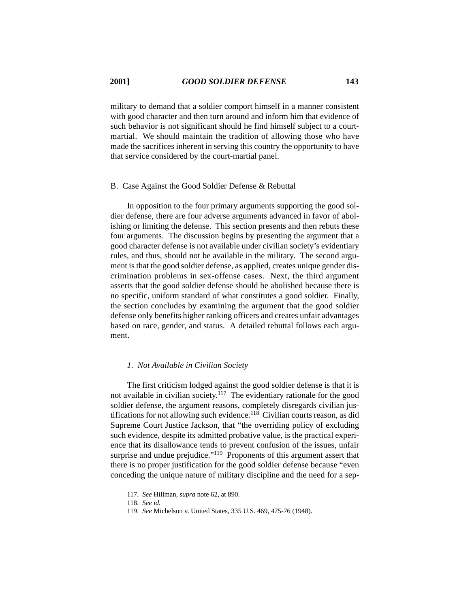military to demand that a soldier comport himself in a manner consistent with good character and then turn around and inform him that evidence of such behavior is not significant should he find himself subject to a courtmartial. We should maintain the tradition of allowing those who have made the sacrifices inherent in serving this country the opportunity to have that service considered by the court-martial panel.

#### B. Case Against the Good Soldier Defense & Rebuttal

In opposition to the four primary arguments supporting the good soldier defense, there are four adverse arguments advanced in favor of abolishing or limiting the defense. This section presents and then rebuts these four arguments. The discussion begins by presenting the argument that a good character defense is not available under civilian society's evidentiary rules, and thus, should not be available in the military. The second argument is that the good soldier defense, as applied, creates unique gender discrimination problems in sex-offense cases. Next, the third argument asserts that the good soldier defense should be abolished because there is no specific, uniform standard of what constitutes a good soldier. Finally, the section concludes by examining the argument that the good soldier defense only benefits higher ranking officers and creates unfair advantages based on race, gender, and status. A detailed rebuttal follows each argument.

## *1. Not Available in Civilian Society*

The first criticism lodged against the good soldier defense is that it is not available in civilian society.<sup> $117$ </sup> The evidentiary rationale for the good soldier defense, the argument reasons, completely disregards civilian justifications for not allowing such evidence.<sup>118</sup> Civilian courts reason, as did Supreme Court Justice Jackson, that "the overriding policy of excluding such evidence, despite its admitted probative value, is the practical experience that its disallowance tends to prevent confusion of the issues, unfair surprise and undue prejudice."<sup>119</sup> Proponents of this argument assert that there is no proper justification for the good soldier defense because "even conceding the unique nature of military discipline and the need for a sep-

<sup>117.</sup> *See* Hillman*, supra* note 62, at 890.

<sup>118.</sup> *See id.*

<sup>119.</sup> *See* Michelson v. United States, 335 U.S. 469, 475-76 (1948).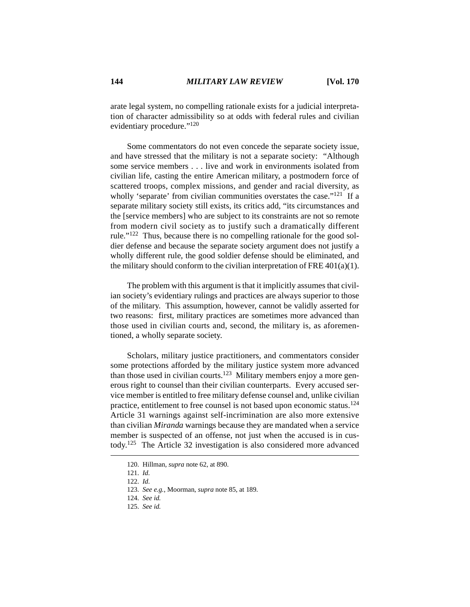arate legal system, no compelling rationale exists for a judicial interpretation of character admissibility so at odds with federal rules and civilian evidentiary procedure."120

Some commentators do not even concede the separate society issue, and have stressed that the military is not a separate society: "Although some service members . . . live and work in environments isolated from civilian life, casting the entire American military, a postmodern force of scattered troops, complex missions, and gender and racial diversity, as wholly 'separate' from civilian communities overstates the case."<sup>121</sup> If a separate military society still exists, its critics add, "its circumstances and the [service members] who are subject to its constraints are not so remote from modern civil society as to justify such a dramatically different rule."122 Thus, because there is no compelling rationale for the good soldier defense and because the separate society argument does not justify a wholly different rule, the good soldier defense should be eliminated, and the military should conform to the civilian interpretation of FRE  $401(a)(1)$ .

The problem with this argument is that it implicitly assumes that civilian society's evidentiary rulings and practices are always superior to those of the military. This assumption, however, cannot be validly asserted for two reasons: first, military practices are sometimes more advanced than those used in civilian courts and, second, the military is, as aforementioned, a wholly separate society.

Scholars, military justice practitioners, and commentators consider some protections afforded by the military justice system more advanced than those used in civilian courts.<sup>123</sup> Military members enjoy a more generous right to counsel than their civilian counterparts. Every accused service member is entitled to free military defense counsel and, unlike civilian practice, entitlement to free counsel is not based upon economic status.124 Article 31 warnings against self-incrimination are also more extensive than civilian *Miranda* warnings because they are mandated when a service member is suspected of an offense, not just when the accused is in custody.125 The Article 32 investigation is also considered more advanced

<sup>120.</sup> Hillman*, supra* note 62, at 890.

<sup>121.</sup> *Id.*

<sup>122.</sup> *Id.*

<sup>123.</sup> *See e.g.*, Moorman, *supra* note 85, at 189.

<sup>124.</sup> *See id.*

<sup>125.</sup> *See id.*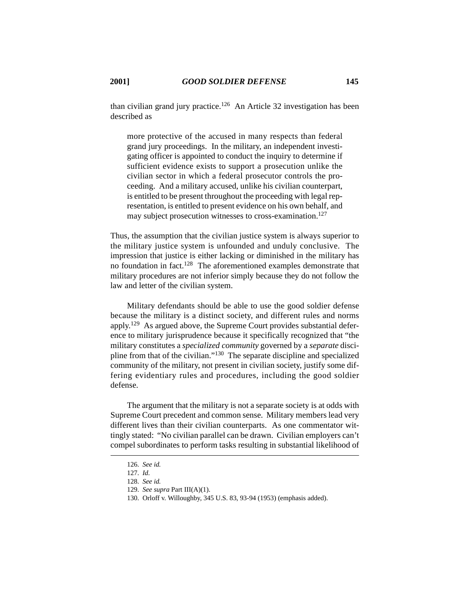than civilian grand jury practice.<sup>126</sup> An Article 32 investigation has been described as

more protective of the accused in many respects than federal grand jury proceedings. In the military, an independent investigating officer is appointed to conduct the inquiry to determine if sufficient evidence exists to support a prosecution unlike the civilian sector in which a federal prosecutor controls the proceeding. And a military accused, unlike his civilian counterpart, is entitled to be present throughout the proceeding with legal representation, is entitled to present evidence on his own behalf, and may subject prosecution witnesses to cross-examination.<sup>127</sup>

Thus, the assumption that the civilian justice system is always superior to the military justice system is unfounded and unduly conclusive. The impression that justice is either lacking or diminished in the military has no foundation in fact.128 The aforementioned examples demonstrate that military procedures are not inferior simply because they do not follow the law and letter of the civilian system.

Military defendants should be able to use the good soldier defense because the military is a distinct society, and different rules and norms apply.129 As argued above, the Supreme Court provides substantial deference to military jurisprudence because it specifically recognized that "the military constitutes a *specialized community* governed by a *separate* discipline from that of the civilian."130 The separate discipline and specialized community of the military, not present in civilian society, justify some differing evidentiary rules and procedures, including the good soldier defense.

The argument that the military is not a separate society is at odds with Supreme Court precedent and common sense. Military members lead very different lives than their civilian counterparts. As one commentator wittingly stated: "No civilian parallel can be drawn. Civilian employers can't compel subordinates to perform tasks resulting in substantial likelihood of

<sup>126.</sup> *See id.*

<sup>127.</sup> *Id.*

<sup>128.</sup> *See id.*

<sup>129.</sup> *See supra* Part III(A)(1).

<sup>130.</sup> Orloff v. Willoughby, 345 U.S. 83, 93-94 (1953) (emphasis added).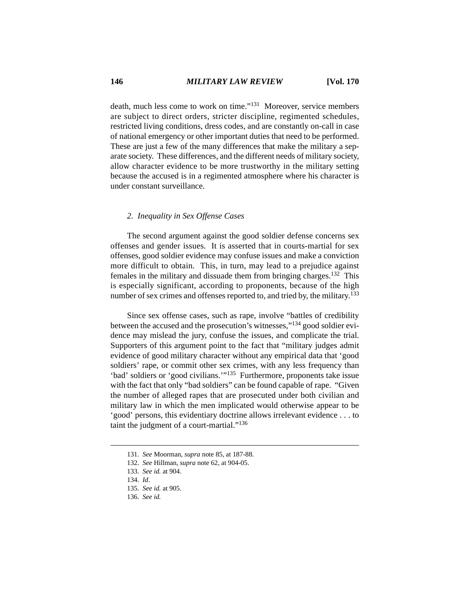death, much less come to work on time."131 Moreover, service members are subject to direct orders, stricter discipline, regimented schedules, restricted living conditions, dress codes, and are constantly on-call in case of national emergency or other important duties that need to be performed. These are just a few of the many differences that make the military a separate society. These differences, and the different needs of military society, allow character evidence to be more trustworthy in the military setting because the accused is in a regimented atmosphere where his character is under constant surveillance.

# *2. Inequality in Sex Offense Cases*

The second argument against the good soldier defense concerns sex offenses and gender issues. It is asserted that in courts-martial for sex offenses, good soldier evidence may confuse issues and make a conviction more difficult to obtain. This, in turn, may lead to a prejudice against females in the military and dissuade them from bringing charges.132 This is especially significant, according to proponents, because of the high number of sex crimes and offenses reported to, and tried by, the military.<sup>133</sup>

Since sex offense cases, such as rape, involve "battles of credibility between the accused and the prosecution's witnesses,"134 good soldier evidence may mislead the jury, confuse the issues, and complicate the trial. Supporters of this argument point to the fact that "military judges admit evidence of good military character without any empirical data that 'good soldiers' rape, or commit other sex crimes, with any less frequency than 'bad' soldiers or 'good civilians.'"135 Furthermore, proponents take issue with the fact that only "bad soldiers" can be found capable of rape. "Given the number of alleged rapes that are prosecuted under both civilian and military law in which the men implicated would otherwise appear to be 'good' persons, this evidentiary doctrine allows irrelevant evidence . . . to taint the judgment of a court-martial." $136$ 

<sup>131.</sup> *See* Moorman, *supra* note 85, at 187-88.

<sup>132.</sup> *See* Hillman, *supra* note 62, at 904-05.

<sup>133.</sup> *See id.* at 904.

<sup>134.</sup> *Id*.

<sup>135.</sup> *See id.* at 905.

<sup>136.</sup> *See id.*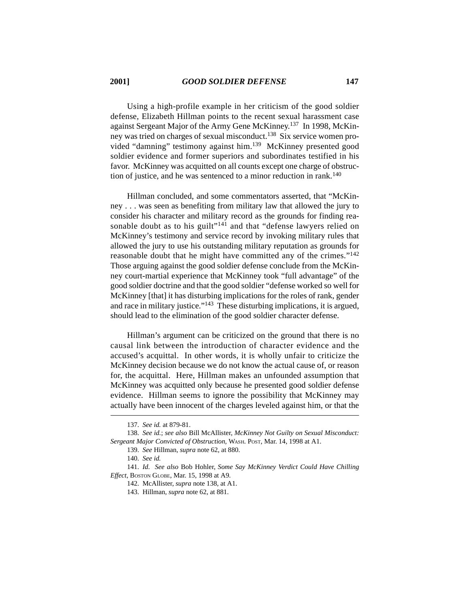Using a high-profile example in her criticism of the good soldier defense, Elizabeth Hillman points to the recent sexual harassment case against Sergeant Major of the Army Gene McKinney.137 In 1998, McKinney was tried on charges of sexual misconduct.<sup>138</sup> Six service women provided "damning" testimony against him.<sup>139</sup> McKinney presented good soldier evidence and former superiors and subordinates testified in his favor. McKinney was acquitted on all counts except one charge of obstruction of justice, and he was sentenced to a minor reduction in rank.<sup>140</sup>

Hillman concluded, and some commentators asserted, that "McKinney . . . was seen as benefiting from military law that allowed the jury to consider his character and military record as the grounds for finding reasonable doubt as to his guilt<sup>"141</sup> and that "defense lawyers relied on McKinney's testimony and service record by invoking military rules that allowed the jury to use his outstanding military reputation as grounds for reasonable doubt that he might have committed any of the crimes."142 Those arguing against the good soldier defense conclude from the McKinney court-martial experience that McKinney took "full advantage" of the good soldier doctrine and that the good soldier "defense worked so well for McKinney [that] it has disturbing implications for the roles of rank, gender and race in military justice."143 These disturbing implications, it is argued, should lead to the elimination of the good soldier character defense.

Hillman's argument can be criticized on the ground that there is no causal link between the introduction of character evidence and the accused's acquittal. In other words, it is wholly unfair to criticize the McKinney decision because we do not know the actual cause of, or reason for, the acquittal. Here, Hillman makes an unfounded assumption that McKinney was acquitted only because he presented good soldier defense evidence. Hillman seems to ignore the possibility that McKinney may actually have been innocent of the charges leveled against him, or that the

<sup>137.</sup> *See id.* at 879-81.

<sup>138.</sup> *See id.*; *see also* Bill McAllister, *McKinney Not Guilty on Sexual Misconduct: Sergeant Major Convicted of Obstruction*, WASH. POST, Mar. 14, 1998 at A1.

<sup>139.</sup> *See* Hillman*, supra* note 62, at 880.

<sup>140.</sup> *See id.*

<sup>141.</sup> *Id. See also* Bob Hohler, *Some Say McKinney Verdict Could Have Chilling Effect*, BOSTON GLOBE, Mar. 15, 1998 at A9.

<sup>142.</sup> McAllister, *supra* note 138, at A1.

<sup>143.</sup> Hillman*, supra* note 62, at 881.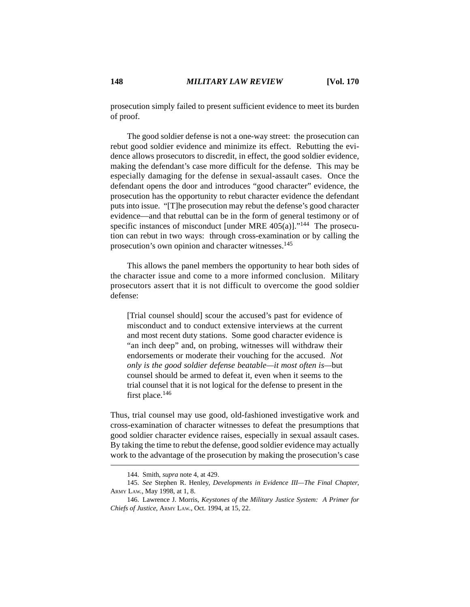prosecution simply failed to present sufficient evidence to meet its burden of proof.

The good soldier defense is not a one-way street: the prosecution can rebut good soldier evidence and minimize its effect. Rebutting the evidence allows prosecutors to discredit, in effect, the good soldier evidence, making the defendant's case more difficult for the defense. This may be especially damaging for the defense in sexual-assault cases. Once the defendant opens the door and introduces "good character" evidence, the prosecution has the opportunity to rebut character evidence the defendant puts into issue. "[T]he prosecution may rebut the defense's good character evidence—and that rebuttal can be in the form of general testimony or of specific instances of misconduct [under MRE  $405(a)$ ]."<sup>144</sup> The prosecution can rebut in two ways: through cross-examination or by calling the prosecution's own opinion and character witnesses.<sup>145</sup>

This allows the panel members the opportunity to hear both sides of the character issue and come to a more informed conclusion. Military prosecutors assert that it is not difficult to overcome the good soldier defense:

[Trial counsel should] scour the accused's past for evidence of misconduct and to conduct extensive interviews at the current and most recent duty stations. Some good character evidence is "an inch deep" and, on probing, witnesses will withdraw their endorsements or moderate their vouching for the accused. *Not only is the good soldier defense beatable—it most often is—*but counsel should be armed to defeat it, even when it seems to the trial counsel that it is not logical for the defense to present in the first place.<sup>146</sup>

Thus, trial counsel may use good, old-fashioned investigative work and cross-examination of character witnesses to defeat the presumptions that good soldier character evidence raises, especially in sexual assault cases. By taking the time to rebut the defense, good soldier evidence may actually work to the advantage of the prosecution by making the prosecution's case

<sup>144.</sup> Smith, *supra* note 4, at 429.

<sup>145.</sup> *See* Stephen R. Henley, *Developments in Evidence III—The Final Chapter*, ARMY LAW., May 1998, at 1, 8.

<sup>146.</sup> Lawrence J. Morris, *Keystones of the Military Justice System: A Primer for Chiefs of Justice*, ARMY LAW., Oct. 1994, at 15, 22.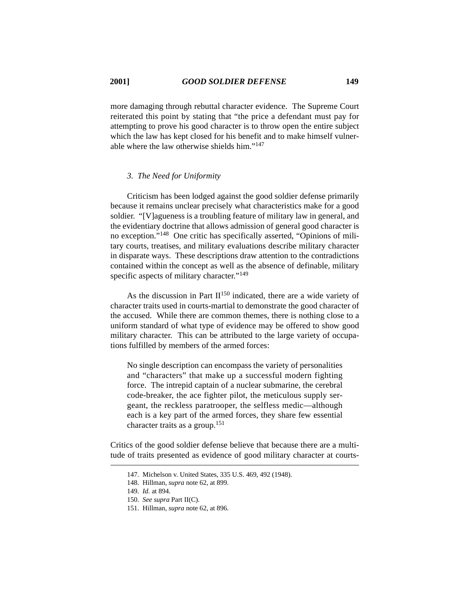more damaging through rebuttal character evidence. The Supreme Court reiterated this point by stating that "the price a defendant must pay for attempting to prove his good character is to throw open the entire subject which the law has kept closed for his benefit and to make himself vulnerable where the law otherwise shields him."147

## *3. The Need for Uniformity*

Criticism has been lodged against the good soldier defense primarily because it remains unclear precisely what characteristics make for a good soldier. "[V]agueness is a troubling feature of military law in general, and the evidentiary doctrine that allows admission of general good character is no exception."148 One critic has specifically asserted, "Opinions of military courts, treatises, and military evaluations describe military character in disparate ways. These descriptions draw attention to the contradictions contained within the concept as well as the absence of definable, military specific aspects of military character."<sup>149</sup>

As the discussion in Part  $II^{150}$  indicated, there are a wide variety of character traits used in courts-martial to demonstrate the good character of the accused. While there are common themes, there is nothing close to a uniform standard of what type of evidence may be offered to show good military character. This can be attributed to the large variety of occupations fulfilled by members of the armed forces:

No single description can encompass the variety of personalities and "characters" that make up a successful modern fighting force. The intrepid captain of a nuclear submarine, the cerebral code-breaker, the ace fighter pilot, the meticulous supply sergeant, the reckless paratrooper, the selfless medic—although each is a key part of the armed forces, they share few essential character traits as a group.<sup>151</sup>

Critics of the good soldier defense believe that because there are a multitude of traits presented as evidence of good military character at courts-

<sup>147.</sup> Michelson v. United States, 335 U.S. 469, 492 (1948).

<sup>148.</sup> Hillman, *supra* note 62, at 899.

<sup>149.</sup> *Id.* at 894.

<sup>150.</sup> *See supra* Part II(C).

<sup>151.</sup> Hillman, *supra* note 62, at 896.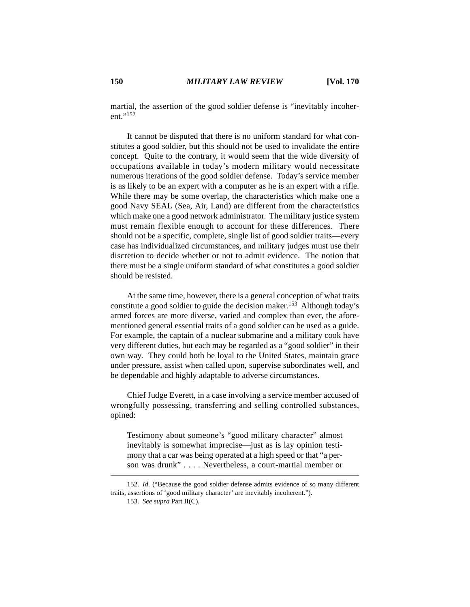martial, the assertion of the good soldier defense is "inevitably incoherent."152

It cannot be disputed that there is no uniform standard for what constitutes a good soldier, but this should not be used to invalidate the entire concept. Quite to the contrary, it would seem that the wide diversity of occupations available in today's modern military would necessitate numerous iterations of the good soldier defense. Today's service member is as likely to be an expert with a computer as he is an expert with a rifle. While there may be some overlap, the characteristics which make one a good Navy SEAL (Sea, Air, Land) are different from the characteristics which make one a good network administrator. The military justice system must remain flexible enough to account for these differences. There should not be a specific, complete, single list of good soldier traits—every case has individualized circumstances, and military judges must use their discretion to decide whether or not to admit evidence. The notion that there must be a single uniform standard of what constitutes a good soldier should be resisted.

At the same time, however, there is a general conception of what traits constitute a good soldier to guide the decision maker.<sup>153</sup> Although today's armed forces are more diverse, varied and complex than ever, the aforementioned general essential traits of a good soldier can be used as a guide. For example, the captain of a nuclear submarine and a military cook have very different duties, but each may be regarded as a "good soldier" in their own way. They could both be loyal to the United States, maintain grace under pressure, assist when called upon, supervise subordinates well, and be dependable and highly adaptable to adverse circumstances.

Chief Judge Everett, in a case involving a service member accused of wrongfully possessing, transferring and selling controlled substances, opined:

Testimony about someone's "good military character" almost inevitably is somewhat imprecise—just as is lay opinion testimony that a car was being operated at a high speed or that "a person was drunk" . . . . Nevertheless, a court-martial member or

<sup>152.</sup> *Id.* ("Because the good soldier defense admits evidence of so many different traits, assertions of 'good military character' are inevitably incoherent.").

<sup>153.</sup> *See supra* Part II(C).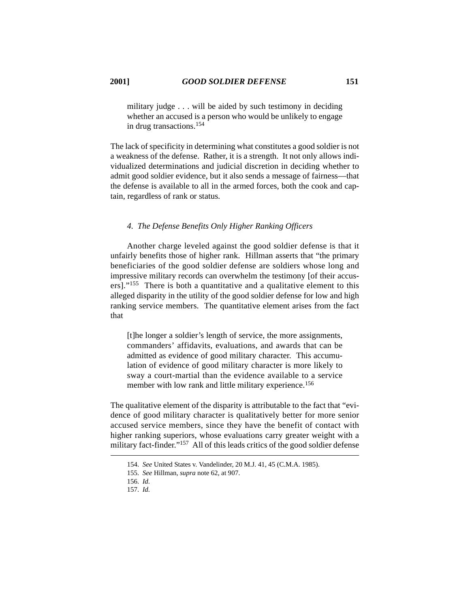military judge . . . will be aided by such testimony in deciding whether an accused is a person who would be unlikely to engage in drug transactions.<sup>154</sup>

The lack of specificity in determining what constitutes a good soldier is not a weakness of the defense. Rather, it is a strength. It not only allows individualized determinations and judicial discretion in deciding whether to admit good soldier evidence, but it also sends a message of fairness—that the defense is available to all in the armed forces, both the cook and captain, regardless of rank or status.

# *4. The Defense Benefits Only Higher Ranking Officers*

Another charge leveled against the good soldier defense is that it unfairly benefits those of higher rank. Hillman asserts that "the primary beneficiaries of the good soldier defense are soldiers whose long and impressive military records can overwhelm the testimony [of their accusers]."155 There is both a quantitative and a qualitative element to this alleged disparity in the utility of the good soldier defense for low and high ranking service members. The quantitative element arises from the fact that

[t]he longer a soldier's length of service, the more assignments, commanders' affidavits, evaluations, and awards that can be admitted as evidence of good military character. This accumulation of evidence of good military character is more likely to sway a court-martial than the evidence available to a service member with low rank and little military experience.<sup>156</sup>

The qualitative element of the disparity is attributable to the fact that "evidence of good military character is qualitatively better for more senior accused service members, since they have the benefit of contact with higher ranking superiors, whose evaluations carry greater weight with a military fact-finder."157 All of this leads critics of the good soldier defense

<sup>154.</sup> *See* United States v. Vandelinder, 20 M.J. 41, 45 (C.M.A. 1985).

<sup>155.</sup> *See* Hillman, *supra* note 62, at 907.

<sup>156.</sup> *Id.*

<sup>157.</sup> *Id.*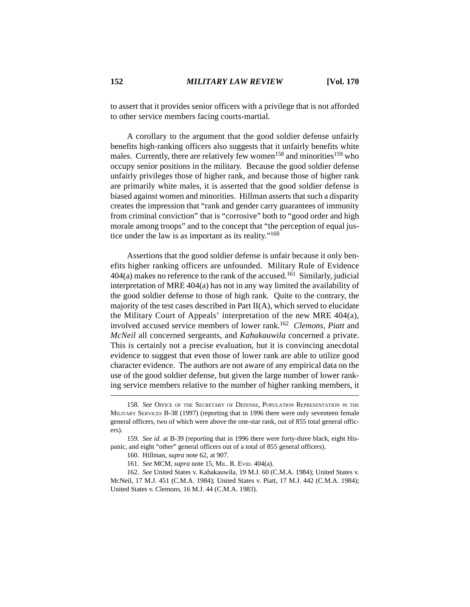to assert that it provides senior officers with a privilege that is not afforded to other service members facing courts-martial.

A corollary to the argument that the good soldier defense unfairly benefits high-ranking officers also suggests that it unfairly benefits white males. Currently, there are relatively few women<sup>158</sup> and minorities<sup>159</sup> who occupy senior positions in the military. Because the good soldier defense unfairly privileges those of higher rank, and because those of higher rank are primarily white males, it is asserted that the good soldier defense is biased against women and minorities. Hillman asserts that such a disparity creates the impression that "rank and gender carry guarantees of immunity from criminal conviction" that is "corrosive" both to "good order and high morale among troops" and to the concept that "the perception of equal justice under the law is as important as its reality."160

Assertions that the good soldier defense is unfair because it only benefits higher ranking officers are unfounded. Military Rule of Evidence  $404(a)$  makes no reference to the rank of the accused.<sup>161</sup> Similarly, judicial interpretation of MRE 404(a) has not in any way limited the availability of the good soldier defense to those of high rank. Quite to the contrary, the majority of the test cases described in Part II(A), which served to elucidate the Military Court of Appeals' interpretation of the new MRE 404(a), involved accused service members of lower rank.162 *Clemons, Piatt* and *McNeil* all concerned sergeants, and *Kahakauwila* concerned a private. This is certainly not a precise evaluation, but it is convincing anecdotal evidence to suggest that even those of lower rank are able to utilize good character evidence. The authors are not aware of any empirical data on the use of the good soldier defense, but given the large number of lower ranking service members relative to the number of higher ranking members, it

<sup>158.</sup> *See* OFFICE OF THE SECRETARY OF DEFENSE, POPULATION REPRESENTATION IN THE MILITARY SERVICES B-38 (1997) (reporting that in 1996 there were only seventeen female general officers, two of which were above the one-star rank, out of 855 total general officers).

<sup>159.</sup> *See id.* at B-39 (reporting that in 1996 there were forty-three black, eight Hispanic, and eight "other" general officers out of a total of 855 general officers).

<sup>160.</sup> Hillman, *supra* note 62, at 907.

<sup>161.</sup> *See* MCM, *supra* note 15, MIL. R. EVID. 404(a).

<sup>162.</sup> *See* United States v. Kahakauwila, 19 M.J. 60 (C.M.A. 1984); United States v. McNeil, 17 M.J. 451 (C.M.A. 1984); United States v. Piatt, 17 M.J. 442 (C.M.A. 1984); United States v. Clemons, 16 M.J. 44 (C.M.A. 1983).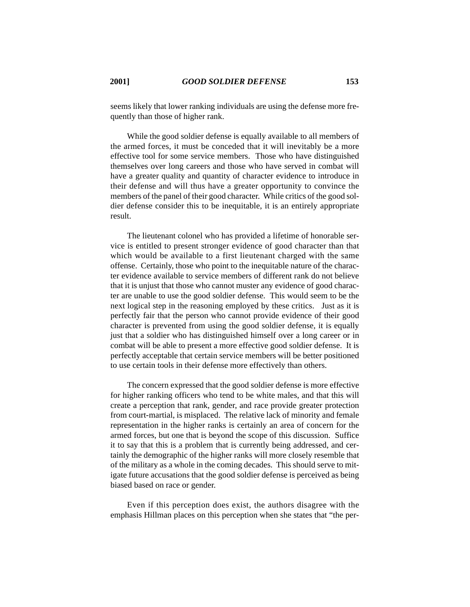seems likely that lower ranking individuals are using the defense more frequently than those of higher rank.

While the good soldier defense is equally available to all members of the armed forces, it must be conceded that it will inevitably be a more effective tool for some service members. Those who have distinguished themselves over long careers and those who have served in combat will have a greater quality and quantity of character evidence to introduce in their defense and will thus have a greater opportunity to convince the members of the panel of their good character. While critics of the good soldier defense consider this to be inequitable, it is an entirely appropriate result.

The lieutenant colonel who has provided a lifetime of honorable service is entitled to present stronger evidence of good character than that which would be available to a first lieutenant charged with the same offense. Certainly, those who point to the inequitable nature of the character evidence available to service members of different rank do not believe that it is unjust that those who cannot muster any evidence of good character are unable to use the good soldier defense. This would seem to be the next logical step in the reasoning employed by these critics. Just as it is perfectly fair that the person who cannot provide evidence of their good character is prevented from using the good soldier defense, it is equally just that a soldier who has distinguished himself over a long career or in combat will be able to present a more effective good soldier defense. It is perfectly acceptable that certain service members will be better positioned to use certain tools in their defense more effectively than others.

The concern expressed that the good soldier defense is more effective for higher ranking officers who tend to be white males, and that this will create a perception that rank, gender, and race provide greater protection from court-martial, is misplaced. The relative lack of minority and female representation in the higher ranks is certainly an area of concern for the armed forces, but one that is beyond the scope of this discussion. Suffice it to say that this is a problem that is currently being addressed, and certainly the demographic of the higher ranks will more closely resemble that of the military as a whole in the coming decades. This should serve to mitigate future accusations that the good soldier defense is perceived as being biased based on race or gender.

Even if this perception does exist, the authors disagree with the emphasis Hillman places on this perception when she states that "the per